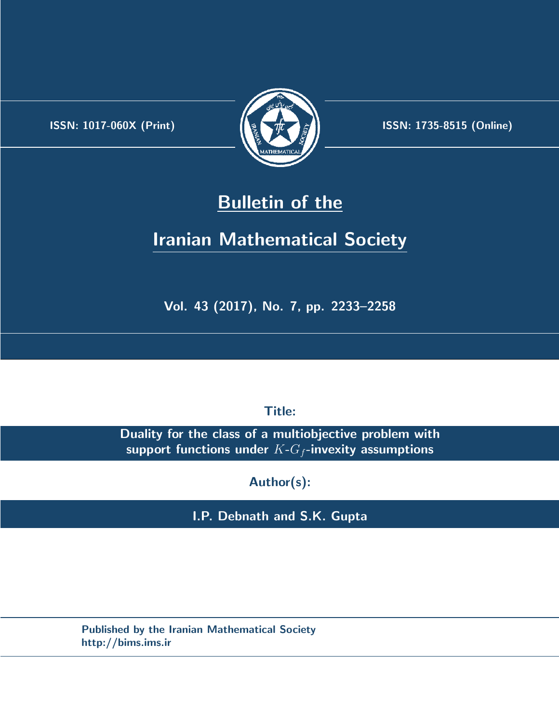.



**ISSN:** 1017-060X (Print)  $\left(\frac{1}{2}\right)$   $\frac{1}{2}$   $\frac{1}{2}$   $\frac{1}{2}$  **ISSN:** 1735-8515 (Online)

## **Bulletin of the**

# **Iranian Mathematical Society**

**Vol. 43 (2017), No. 7, pp. 2233–2258**

**Title:**

**Duality for the class of a multiobjective problem with support functions under** *K***-***G<sup>f</sup>* **-invexity assumptions**

**Author(s):**

**I.P. Debnath and S.K. Gupta**

**Published by the Iranian Mathematical Society http://bims.ims.ir**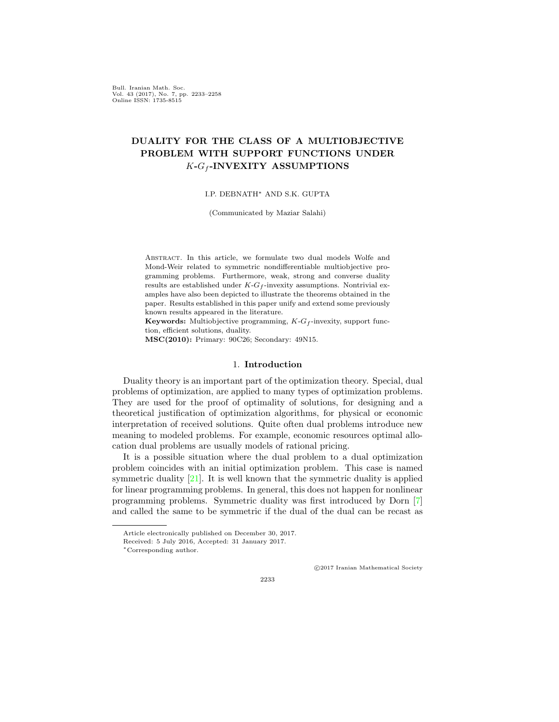Bull. Iranian Math. Soc. Vol. 43 (2017), No. 7, pp. 2233–2258 Online ISSN: 1735-8515

### **DUALITY FOR THE CLASS OF A MULTIOBJECTIVE PROBLEM WITH SUPPORT FUNCTIONS UNDER** *K***-***G<sup>f</sup>* **-INVEXITY ASSUMPTIONS**

#### I.P. DEBNATH*∗* AND S.K. GUPTA

(Communicated by Maziar Salahi)

Abstract. In this article, we formulate two dual models Wolfe and Mond-Weir related to symmetric nondifferentiable multiobjective programming problems. Furthermore, weak, strong and converse duality results are established under  $K$ - $G$ <sup> $f$ </sup>-invexity assumptions. Nontrivial examples have also been depicted to illustrate the theorems obtained in the paper. Results established in this paper unify and extend some previously known results appeared in the literature.

**Keywords:** Multiobjective programming,  $K$ - $G$ <sup> $f$ </sup>-invexity, support function, efficient solutions, duality.

**MSC(2010):** Primary: 90C26; Secondary: 49N15.

#### 1. **Introduction**

Duality theory is an important part of the optimization theory. Special, dual problems of optimization, are applied to many types of optimization problems. They are used for the proof of optimality of solutions, for designing and a theoretical justification of optimization algorithms, for physical or economic interpretation of received solutions. Quite often dual problems introduce new meaning to modeled problems. For example, economic resources optimal allocation dual problems are usually models of rational pricing.

It is a possible situation where the dual problem to a dual optimization problem coincides with an initial optimization problem. This case is named symmetric duality [[21](#page-26-0)]. It is well known that the symmetric duality is applied for linear programming problems. In general, this does not happen for nonlinear programming problems. Symmetric duality was first introduced by Dorn [\[7](#page-25-0)] and called the same to be symmetric if the dual of the dual can be recast as

*⃝*c 2017 Iranian Mathematical Society

Article electronically published on December 30, 2017.

Received: 5 July 2016, Accepted: 31 January 2017.

*<sup>∗</sup>*Corresponding author.

<sup>2233</sup>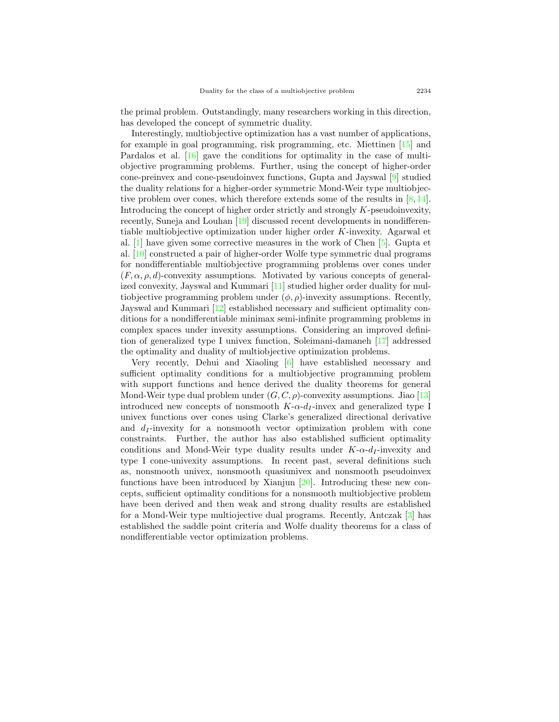the primal problem. Outstandingly, many researchers working in this direction, has developed the concept of symmetric duality.

Interestingly, multiobjective optimization has a vast number of applications, for example in goal programming, risk programming, etc. Miettinen [[15\]](#page-26-1) and Pardalos et al. [\[16](#page-26-2)] gave the conditions for optimality in the case of multiobjective programming problems. Further, using the concept of higher-order cone-preinvex and cone-pseudoinvex functions, Gupta and Jayswal [\[9](#page-25-1)] studied the duality relations for a higher-order symmetric Mond-Weir type multiobjective problem over cones, which therefore extends some of the results in [[8,](#page-25-2) [14\]](#page-26-3). Introducing the concept of higher order strictly and strongly *K*-pseudoinvexity, recently, Suneja and Louhan [\[19](#page-26-4)] discussed recent developments in nondifferentiable multiobjective optimization under higher order *K*-invexity. Agarwal et al. [[1\]](#page-25-3) have given some corrective measures in the work of Chen [\[5](#page-25-4)]. Gupta et al. [\[10](#page-25-5)] constructed a pair of higher-order Wolfe type symmetric dual programs for nondifferentiable multiobjective programming problems over cones under  $(F, \alpha, \rho, d)$ -convexity assumptions. Motivated by various concepts of generalized convexity, Jayswal and Kummari [[11\]](#page-26-5) studied higher order duality for multiobjective programming problem under  $(\phi, \rho)$ -invexity assumptions. Recently, Jayswal and Kummari [\[12](#page-26-6)] established necessary and sufficient optimality conditions for a nondifferentiable minimax semi-infinite programming problems in complex spaces under invexity assumptions. Considering an improved definition of generalized type I univex function, Soleimani-damaneh [\[17](#page-26-7)] addressed the optimality and duality of multiobjective optimization problems.

Very recently, Dehui and Xiaoling [\[6](#page-25-6)] have established necessary and sufficient optimality conditions for a multiobjective programming problem with support functions and hence derived the duality theorems for general Mond-Weir type dual problem under  $(G, C, \rho)$ -convexity assumptions. Jiao [[13](#page-26-8)] introduced new concepts of nonsmooth  $K$ - $\alpha$ - $d_I$ -invex and generalized type I univex functions over cones using Clarke's generalized directional derivative and  $d_I$ -invexity for a nonsmooth vector optimization problem with cone constraints. Further, the author has also established sufficient optimality conditions and Mond-Weir type duality results under *K*-*α*-*d<sup>I</sup>* -invexity and type I cone-univexity assumptions. In recent past, several definitions such as, nonsmooth univex, nonsmooth quasiunivex and nonsmooth pseudoinvex functions have been introduced by Xianjun [[20](#page-26-9)]. Introducing these new concepts, sufficient optimality conditions for a nonsmooth multiobjective problem have been derived and then weak and strong duality results are established for a Mond-Weir type multiojective dual programs. Recently, Antczak [[3\]](#page-25-7) has established the saddle point criteria and Wolfe duality theorems for a class of nondifferentiable vector optimization problems.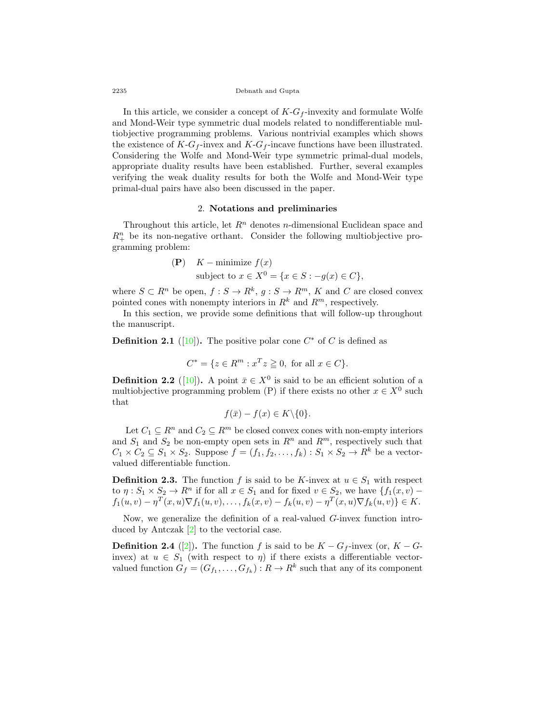2235 Debnath and Gupta

In this article, we consider a concept of  $K$ - $G$ <sup> $f$ </sup>-invexity and formulate Wolfe and Mond-Weir type symmetric dual models related to nondifferentiable multiobjective programming problems. Various nontrivial examples which shows the existence of  $K-G_f$ -invex and  $K-G_f$ -incave functions have been illustrated. Considering the Wolfe and Mond-Weir type symmetric primal-dual models, appropriate duality results have been established. Further, several examples verifying the weak duality results for both the Wolfe and Mond-Weir type primal-dual pairs have also been discussed in the paper.

#### 2. **Notations and preliminaries**

Throughout this article, let *R<sup>n</sup>* denotes *n*-dimensional Euclidean space and  $R_+^n$  be its non-negative orthant. Consider the following multiobjective programming problem:

(P) 
$$
K
$$
 – minimize  $f(x)$   
subject to  $x \in X^0 = \{x \in S : -g(x) \in C\},\$ 

where  $S \subset R^n$  be open,  $f : S \to R^k$ ,  $g : S \to R^m$ ,  $K$  and  $C$  are closed convex pointed cones with nonempty interiors in  $R^k$  and  $R^m$ , respectively.

In this section, we provide some definitions that will follow-up throughout the manuscript.

**Definition 2.1** ([\[10](#page-25-5)]). The positive polar cone  $C^*$  of  $C$  is defined as

$$
C^* = \{ z \in R^m : x^T z \ge 0, \text{ for all } x \in C \}.
$$

**Definition 2.2** ([[10\]](#page-25-5)). A point  $\bar{x} \in X^0$  is said to be an efficient solution of a multiobjective programming problem (P) if there exists no other  $x \in X^0$  such that

$$
f(\bar{x}) - f(x) \in K \backslash \{0\}.
$$

Let  $C_1 \subseteq R^n$  and  $C_2 \subseteq R^m$  be closed convex cones with non-empty interiors and  $S_1$  and  $S_2$  be non-empty open sets in  $R^n$  and  $R^m$ , respectively such that  $C_1 \times C_2 \subseteq S_1 \times S_2$ . Suppose  $f = (f_1, f_2, \ldots, f_k) : S_1 \times S_2 \to R^k$  be a vectorvalued differentiable function.

**Definition 2.3.** The function *f* is said to be *K*-invex at  $u \in S_1$  with respect to  $\eta: S_1 \times S_2 \to R^n$  if for all  $x \in S_1$  and for fixed  $v \in S_2$ , we have  $\{f_1(x, v) - f_2(x, v) \}$  $f_1(u, v) - \eta^T(x, u) \nabla f_1(u, v), \dots, f_k(x, v) - f_k(u, v) - \eta^T(x, u) \nabla f_k(u, v) \} \in K.$ 

Now, we generalize the definition of a real-valued *G*-invex function introduced by Antczak [\[2](#page-25-8)] to the vectorial case.

**Definition 2.4** ([[2\]](#page-25-8)). The function *f* is said to be  $K - G_f$ -invex (or,  $K - G_f$ ) invex) at  $u \in S_1$  (with respect to  $\eta$ ) if there exists a differentiable vectorvalued function  $G_f = (G_{f_1}, \ldots, G_{f_k}) : R \to R^k$  such that any of its component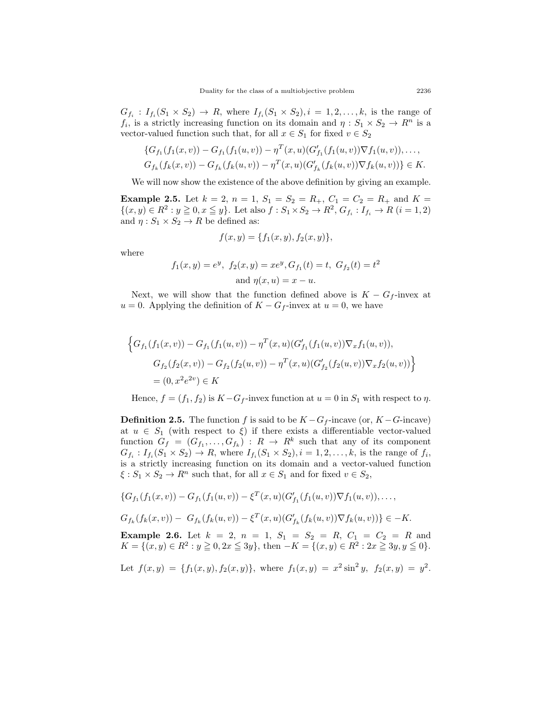$G_{f_i}: I_{f_i}(S_1 \times S_2) \to R$ , where  $I_{f_i}(S_1 \times S_2), i = 1, 2, \ldots, k$ , is the range of *f<sub>i</sub>*, is a strictly increasing function on its domain and  $\eta : S_1 \times S_2 \to R^n$  is a vector-valued function such that, for all  $x \in S_1$  for fixed  $v \in S_2$ 

$$
\{G_{f_1}(f_1(x,v)) - G_{f_1}(f_1(u,v)) - \eta^T(x,u)(G'_{f_1}(f_1(u,v))\nabla f_1(u,v)), \dots, G_{f_k}(f_k(x,v)) - G_{f_k}(f_k(u,v)) - \eta^T(x,u)(G'_{f_k}(f_k(u,v))\nabla f_k(u,v))\} \in K.
$$

We will now show the existence of the above definition by giving an example.

**Example 2.5.** Let  $k = 2$ ,  $n = 1$ ,  $S_1 = S_2 = R_+$ ,  $C_1 = C_2 = R_+$  and  $K =$  $\{(x,y)\in R^2: y\geqq 0, x\leqq y\}$ . Let also  $f: S_1\times S_2\to R^2$ ,  $G_{f_i}: I_{f_i}\to R$   $(i=1,2)$ and  $\eta: S_1 \times S_2 \to R$  be defined as:

$$
f(x, y) = \{f_1(x, y), f_2(x, y)\},\
$$

where

$$
f_1(x, y) = e^y
$$
,  $f_2(x, y) = xe^y$ ,  $G_{f_1}(t) = t$ ,  $G_{f_2}(t) = t^2$   
and  $\eta(x, u) = x - u$ .

Next, we will show that the function defined above is  $K - G_f$ -invex at  $u = 0$ . Applying the definition of  $K - G_f$ -invex at  $u = 0$ , we have

$$
\left\{ G_{f_1}(f_1(x,v)) - G_{f_1}(f_1(u,v)) - \eta^T(x,u)(G'_{f_1}(f_1(u,v))\nabla_x f_1(u,v)),
$$
  
\n
$$
G_{f_2}(f_2(x,v)) - G_{f_2}(f_2(u,v)) - \eta^T(x,u)(G'_{f_2}(f_2(u,v))\nabla_x f_2(u,v)) \right\}
$$
  
\n
$$
= (0, x^2 e^{2v}) \in K
$$

Hence,  $f = (f_1, f_2)$  is  $K - G_f$ -invex function at  $u = 0$  in  $S_1$  with respect to  $\eta$ .

**Definition 2.5.** The function *f* is said to be  $K - G_f$ -incave (or,  $K - G$ -incave) at  $u \in S_1$  (with respect to  $\xi$ ) if there exists a differentiable vector-valued function  $G_f = (G_{f_1}, \ldots, G_{f_k}) : R \to R^k$  such that any of its component  $G_{f_i}: I_{f_i}(S_1 \times S_2) \to R$ , where  $I_{f_i}(S_1 \times S_2), i = 1, 2, ..., k$ , is the range of  $f_i$ , is a strictly increasing function on its domain and a vector-valued function  $\xi$  :  $S_1 \times S_2 \to R^n$  such that, for all  $x \in S_1$  and for fixed  $v \in S_2$ ,

$$
\{G_{f_1}(f_1(x,v)) - G_{f_1}(f_1(u,v)) - \xi^T(x,u)(G'_{f_1}(f_1(u,v))\nabla f_1(u,v)), \ldots,
$$

 $G_{f_k}(f_k(x,v)) - G_{f_k}(f_k(u,v)) - \xi^T(x,u)(G'_{f_k}(f_k(u,v))\nabla f_k(u,v))\} \in -K.$ 

**Example 2.6.** Let  $k = 2$ ,  $n = 1$ ,  $S_1 = S_2 = R$ ,  $C_1 = C_2 = R$  and *K* = {(*x, y*) ∈  $R^2$  : *y*  $\geq$  0*,* 2*x*  $\leq$  3*y*}, then −*K* = {(*x, y*) ∈  $R^2$  : 2*x*  $\geq$  3*y, y*  $\leq$  0}.

Let 
$$
f(x, y) = \{f_1(x, y), f_2(x, y)\}\
$$
, where  $f_1(x, y) = x^2 \sin^2 y$ ,  $f_2(x, y) = y^2$ .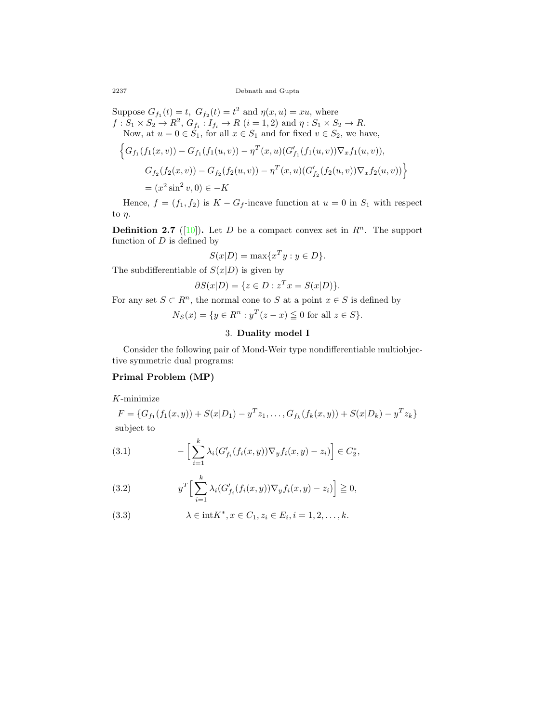Suppose  $G_{f_1}(t) = t$ ,  $G_{f_2}(t) = t^2$  and  $\eta(x, u) = xu$ , where  $f: S_1 \times S_2 \to R^2$ ,  $G_{f_i}: I_{f_i} \to R$   $(i = 1, 2)$  and  $\eta: S_1 \times S_2 \to R$ . Now, at  $u = 0 \in S_1$ , for all  $x \in S_1$  and for fixed  $v \in S_2$ , we have,

$$
\left\{G_{f_1}(f_1(x,v)) - G_{f_1}(f_1(u,v)) - \eta^T(x,u)(G'_{f_1}(f_1(u,v))\nabla_x f_1(u,v)),
$$
  
\n
$$
G_{f_2}(f_2(x,v)) - G_{f_2}(f_2(u,v)) - \eta^T(x,u)(G'_{f_2}(f_2(u,v))\nabla_x f_2(u,v))\right\}
$$
  
\n
$$
= (x^2 \sin^2 v, 0) \in -K
$$

Hence,  $f = (f_1, f_2)$  is  $K - G_f$ -incave function at  $u = 0$  in  $S_1$  with respect to *η*.

**Definition 2.7** ([[10\]](#page-25-5)). Let *D* be a compact convex set in  $R^n$ . The support function of *D* is defined by

$$
S(x|D) = \max\{x^T y : y \in D\}.
$$

The subdifferentiable of  $S(x|D)$  is given by

$$
\partial S(x|D) = \{ z \in D : z^T x = S(x|D) \}.
$$

For any set  $S \subset \mathbb{R}^n$ , the normal cone to *S* at a point  $x \in S$  is defined by

 $N_S(x) = \{ y \in R^n : y^T(z - x) \leq 0 \text{ for all } z \in S \}.$ 

### 3. **Duality model I**

Consider the following pair of Mond-Weir type nondifferentiable multiobjective symmetric dual programs:

#### **Primal Problem (MP)**

*K*-minimize

$$
F = \{G_{f_1}(f_1(x, y)) + S(x|D_1) - y^T z_1, \dots, G_{f_k}(f_k(x, y)) + S(x|D_k) - y^T z_k\}
$$
  
subject to

<span id="page-5-0"></span>(3.1) 
$$
- \Big[ \sum_{i=1}^{k} \lambda_i (G'_{f_i}(f_i(x,y)) \nabla_y f_i(x,y) - z_i) \Big] \in C_2^*,
$$

<span id="page-5-1"></span>(3.2) 
$$
y^T \Big[ \sum_{i=1}^k \lambda_i (G'_{f_i}(f_i(x,y)) \nabla_y f_i(x,y) - z_i) \Big] \geqq 0,
$$

(3.3) 
$$
\lambda \in \text{int} K^*, x \in C_1, z_i \in E_i, i = 1, 2, ..., k.
$$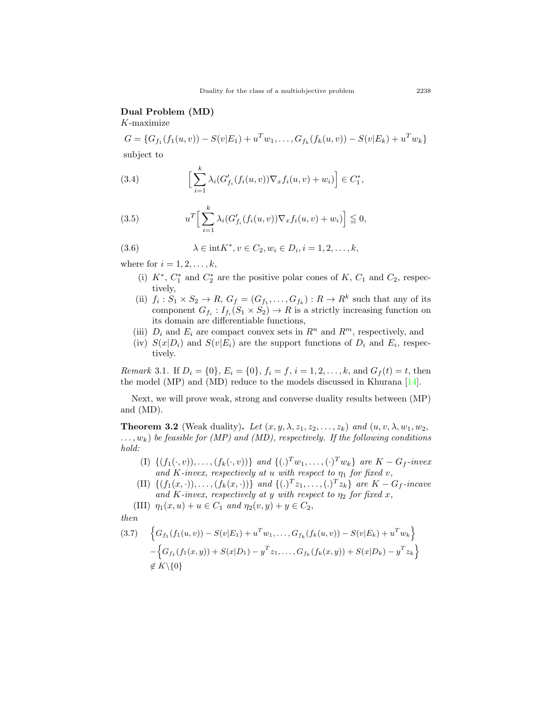#### **Dual Problem (MD)**

*K*-maximize

 $G = \{G_{f_1}(f_1(u,v)) - S(v|E_1) + u^T w_1, \ldots, G_{f_k}(f_k(u,v)) - S(v|E_k) + u^T w_k\}$ subject to

<span id="page-6-1"></span>(3.4) 
$$
\left[\sum_{i=1}^k \lambda_i (G'_{f_i}(f_i(u,v))\nabla_x f_i(u,v) + w_i)\right] \in C_1^*,
$$

<span id="page-6-2"></span>(3.5) 
$$
u^T \Big[ \sum_{i=1}^k \lambda_i (G'_{f_i}(f_i(u,v)) \nabla_x f_i(u,v) + w_i) \Big] \leq 0,
$$

(3.6) 
$$
\lambda \in \text{int} K^*, v \in C_2, w_i \in D_i, i = 1, 2, ..., k,
$$

where for  $i = 1, 2, ..., k$ ,

- (i)  $K^*$ ,  $C_1^*$  and  $C_2^*$  are the positive polar cones of  $K$ ,  $C_1$  and  $C_2$ , respectively,
- (ii)  $f_i: S_1 \times S_2 \to R$ ,  $G_f = (G_{f_1}, \ldots, G_{f_k}) : R \to R^k$  such that any of its component  $G_{f_i}: I_{f_i}(S_1 \times S_2) \to R$  is a strictly increasing function on its domain are differentiable functions,
- (iii)  $D_i$  and  $E_i$  are compact convex sets in  $R^n$  and  $R^m$ , respectively, and
- (iv)  $S(x|D_i)$  and  $S(v|E_i)$  are the support functions of  $D_i$  and  $E_i$ , respectively.

*Remark* 3.1. If  $D_i = \{0\}$ ,  $E_i = \{0\}$ ,  $f_i = f$ ,  $i = 1, 2, \ldots, k$ , and  $G_f(t) = t$ , then the model (MP) and (MD) reduce to the models discussed in Khurana  $[14]$  $[14]$ .

Next, we will prove weak, strong and converse duality results between (MP) and (MD).

<span id="page-6-3"></span>**Theorem 3.2** (Weak duality). Let  $(x, y, \lambda, z_1, z_2, \ldots, z_k)$  and  $(u, v, \lambda, w_1, w_2, \ldots, w_k)$ *. . . , wk*) *be feasible for (MP) and (MD), respectively. If the following conditions hold:*

- (I)  $\{(f_1(\cdot,v)), \ldots, (f_k(\cdot,v))\}$  and  $\{(.)^T w_1, \ldots, (\cdot)^T w_k\}$  are  $K G_f$ -invex *and K*-*invex, respectively at <i>u with respect to*  $\eta_1$  *for fixed v,*
- (II)  $\{(f_1(x, \cdot)), \ldots, (f_k(x, \cdot))\}$  and  $\{(\cdot)^T z_1, \ldots, (\cdot)^T z_k\}$  are  $K G_f$ -incave *and*  $K$ *-invex, respectively at y with respect to*  $\eta_2$  *for fixed x,*

(III) 
$$
\eta_1(x, u) + u \in C_1
$$
 and  $\eta_2(v, y) + y \in C_2$ ,

*then*

<span id="page-6-0"></span>
$$
(3.7) \quad \left\{G_{f_1}(f_1(u,v)) - S(v|E_1) + u^T w_1, \dots, G_{f_k}(f_k(u,v)) - S(v|E_k) + u^T w_k\right\} - \left\{G_{f_1}(f_1(x,y)) + S(x|D_1) - y^T z_1, \dots, G_{f_k}(f_k(x,y)) + S(x|D_k) - y^T z_k\right\} \not\in K\setminus\{0\}
$$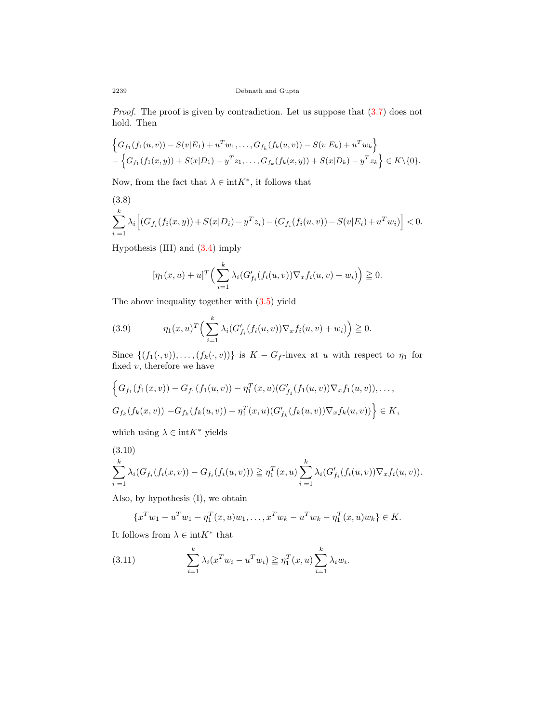*Proof.* The proof is given by contradiction. Let us suppose that  $(3.7)$  $(3.7)$  does not hold. Then

$$
\begin{aligned} &\left\{G_{f_1}(f_1(u,v))-S(v|E_1)+u^Tw_1,\ldots,G_{f_k}(f_k(u,v))-S(v|E_k)+u^Tw_k\right\} \\ &- \left\{G_{f_1}(f_1(x,y))+S(x|D_1)-y^Tz_1,\ldots,G_{f_k}(f_k(x,y))+S(x|D_k)-y^Tz_k\right\} \in K\backslash\{0\}. \end{aligned}
$$

Now, from the fact that  $\lambda \in \text{int}K^*$ , it follows that

(3.8)  
\n
$$
\sum_{i=1}^{k} \lambda_i \Big[ (G_{f_i}(f_i(x, y)) + S(x|D_i) - y^T z_i) - (G_{f_i}(f_i(u, v)) - S(v|E_i) + u^T w_i) \Big] < 0.
$$

Hypothesis (III) and ([3.4\)](#page-6-1) imply

$$
[\eta_1(x, u) + u]^T \Big(\sum_{i=1}^k \lambda_i (G'_{f_i}(f_i(u, v)) \nabla_x f_i(u, v) + w_i)\Big) \geq 0.
$$

The above inequality together with ([3.5\)](#page-6-2) yield

<span id="page-7-0"></span>(3.9) 
$$
\eta_1(x, u)^T \Big( \sum_{i=1}^k \lambda_i (G'_{f_i}(f_i(u, v)) \nabla_x f_i(u, v) + w_i) \Big) \geq 0.
$$

Since  $\{(f_1(\cdot,v)), \ldots, (f_k(\cdot,v))\}$  is  $K - G_f$ -invex at *u* with respect to  $\eta_1$  for fixed  $v$ , therefore we have

$$
\left\{G_{f_1}(f_1(x,v)) - G_{f_1}(f_1(u,v)) - \eta_1^T(x,u)(G'_{f_1}(f_1(u,v))\nabla_x f_1(u,v)), \ldots, G_{f_k}(f_k(x,v)) - G_{f_k}(f_k(u,v)) - \eta_1^T(x,u)(G'_{f_k}(f_k(u,v))\nabla_x f_k(u,v))\right\} \in K,
$$

which using  $\lambda \in \text{int}K^*$  yields

$$
(3.10)
$$
  

$$
\sum_{i=1}^{k} \lambda_i (G_{f_i}(f_i(x, v)) - G_{f_i}(f_i(u, v))) \ge \eta_1^T(x, u) \sum_{i=1}^{k} \lambda_i (G'_{f_i}(f_i(u, v)) \nabla_x f_i(u, v)).
$$

Also, by hypothesis (I), we obtain

<span id="page-7-1"></span>
$$
\{x^T w_1 - u^T w_1 - \eta_1^T(x, u) w_1, \dots, x^T w_k - u^T w_k - \eta_1^T(x, u) w_k\} \in K.
$$

It follows from  $\lambda \in \text{int}K^*$  that

(3.11) 
$$
\sum_{i=1}^{k} \lambda_i (x^T w_i - u^T w_i) \geqq \eta_1^T(x, u) \sum_{i=1}^{k} \lambda_i w_i.
$$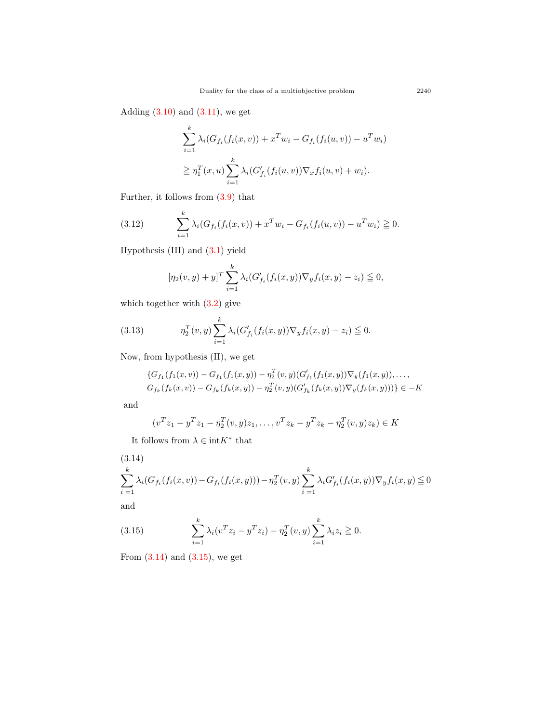Adding  $(3.10)$  and  $(3.11)$ , we get

$$
\sum_{i=1}^{k} \lambda_i (G_{f_i}(f_i(x, v)) + x^T w_i - G_{f_i}(f_i(u, v)) - u^T w_i)
$$
  

$$
\geq \eta_1^T(x, u) \sum_{i=1}^{k} \lambda_i (G'_{f_i}(f_i(u, v)) \nabla_x f_i(u, v) + w_i).
$$

Further, it follows from [\(3.9\)](#page-7-0) that

(3.12) 
$$
\sum_{i=1}^{k} \lambda_i (G_{f_i}(f_i(x,v)) + x^T w_i - G_{f_i}(f_i(u,v)) - u^T w_i) \geq 0.
$$

Hypothesis (III) and ([3.1\)](#page-5-0) yield

<span id="page-8-2"></span>
$$
[\eta_2(v, y) + y]^T \sum_{i=1}^k \lambda_i (G'_{f_i}(f_i(x, y)) \nabla_y f_i(x, y) - z_i) \leqq 0,
$$

which together with [\(3.2](#page-5-1)) give

(3.13) 
$$
\eta_2^T(v, y) \sum_{i=1}^k \lambda_i (G'_{f_i}(f_i(x, y)) \nabla_y f_i(x, y) - z_i) \leq 0.
$$

Now, from hypothesis (II), we get

<span id="page-8-0"></span>
$$
\{G_{f_1}(f_1(x,v)) - G_{f_1}(f_1(x,y)) - \eta_2^T(v,y)(G'_{f_1}(f_1(x,y))\nabla_y(f_1(x,y)),..., G_{f_k}(f_k(x,v)) - G_{f_k}(f_k(x,y)) - \eta_2^T(v,y)(G'_{f_k}(f_k(x,y))\nabla_y(f_k(x,y)))\}\n\in -K
$$

and

$$
(v^T z_1 - y^T z_1 - \eta_2^T(v, y) z_1, \dots, v^T z_k - y^T z_k - \eta_2^T(v, y) z_k) \in K
$$

It follows from  $\lambda \in \text{int}K^*$  that

$$
(3.14) \sum_{i=1}^{k} \lambda_i (G_{f_i}(f_i(x, v)) - G_{f_i}(f_i(x, y))) - \eta_2^T(v, y) \sum_{i=1}^{k} \lambda_i G'_{f_i}(f_i(x, y)) \nabla_y f_i(x, y) \leq 0
$$

and

<span id="page-8-1"></span>(3.15) 
$$
\sum_{i=1}^{k} \lambda_i (v^T z_i - y^T z_i) - \eta_2^T(v, y) \sum_{i=1}^{k} \lambda_i z_i \geq 0.
$$

From  $(3.14)$  and  $(3.15)$  $(3.15)$ , we get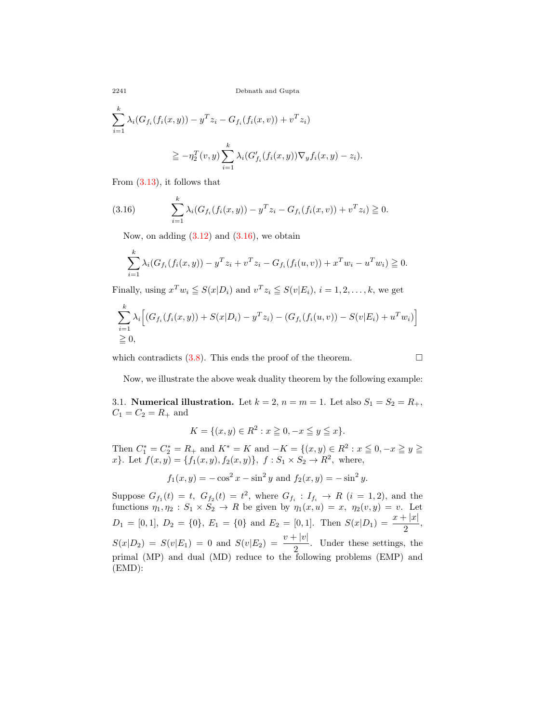2241 Debnath and Gupta

$$
\sum_{i=1}^{k} \lambda_i (G_{f_i}(f_i(x, y)) - y^T z_i - G_{f_i}(f_i(x, v)) + v^T z_i)
$$
  

$$
\geq -\eta_2^T(v, y) \sum_{i=1}^{k} \lambda_i (G'_{f_i}(f_i(x, y)) \nabla_y f_i(x, y) - z_i).
$$

From [\(3.13\)](#page-8-0), it follows that

(3.16) 
$$
\sum_{i=1}^{k} \lambda_i (G_{f_i}(f_i(x, y)) - y^T z_i - G_{f_i}(f_i(x, v)) + v^T z_i) \geq 0.
$$

<span id="page-9-0"></span>Now, on adding ([3.12\)](#page-8-2) and (3*.*[16\)](#page-9-0), we obtain

$$
\sum_{i=1}^{k} \lambda_i (G_{f_i}(f_i(x, y)) - y^T z_i + v^T z_i - G_{f_i}(f_i(u, v)) + x^T w_i - u^T w_i) \ge 0.
$$

Finally, using  $x^Tw_i \leq S(x|D_i)$  and  $v^Tz_i \leq S(v|E_i)$ ,  $i = 1, 2, ..., k$ , we get

$$
\sum_{i=1}^{k} \lambda_i \Big[ (G_{f_i}(f_i(x, y)) + S(x|D_i) - y^T z_i) - (G_{f_i}(f_i(u, v)) - S(v|E_i) + u^T w_i) \Big] \newline \geq 0,
$$

which contradicts  $(3.8)$  $(3.8)$  $(3.8)$ . This ends the proof of the theorem.  $\Box$ 

Now, we illustrate the above weak duality theorem by the following example:

3.1. **Numerical illustration.** Let  $k = 2$ ,  $n = m = 1$ . Let also  $S_1 = S_2 = R_+$ ,  $C_1 = C_2 = R_+$  and

$$
K = \{(x, y) \in R^2 : x \ge 0, -x \le y \le x\}.
$$

Then  $C_1^* = C_2^* = R_+$  and  $K^* = K$  and  $-K = \{(x, y) \in R^2 : x \le 0, -x \ge y \ge 0\}$ *x*}. Let  $f(x, y) = \{f_1(x, y), f_2(x, y)\}, f: S_1 \times S_2 \to R^2$ , where,

$$
f_1(x, y) = -\cos^2 x - \sin^2 y
$$
 and  $f_2(x, y) = -\sin^2 y$ .

Suppose  $G_{f_1}(t) = t$ ,  $G_{f_2}(t) = t^2$ , where  $G_{f_i} : I_{f_i} \to R$  (*i* = 1, 2), and the functions  $\eta_1, \eta_2 : S_1 \times S_2 \to R$  be given by  $\eta_1(x, u) = x$ ,  $\eta_2(v, y) = v$ . Let  $D_1 = [0, 1], D_2 = \{0\}, E_1 = \{0\}$  and  $E_2 = [0, 1].$  Then  $S(x|D_1) = \frac{x + |x|}{2}$ ,  $S(x|D_2) = S(v|E_1) = 0$  and  $S(v|E_2) = \frac{v + |v|}{2}$ . Under these settings, the primal (MP) and dual (MD) reduce to the following problems (EMP) and (EMD):

*k*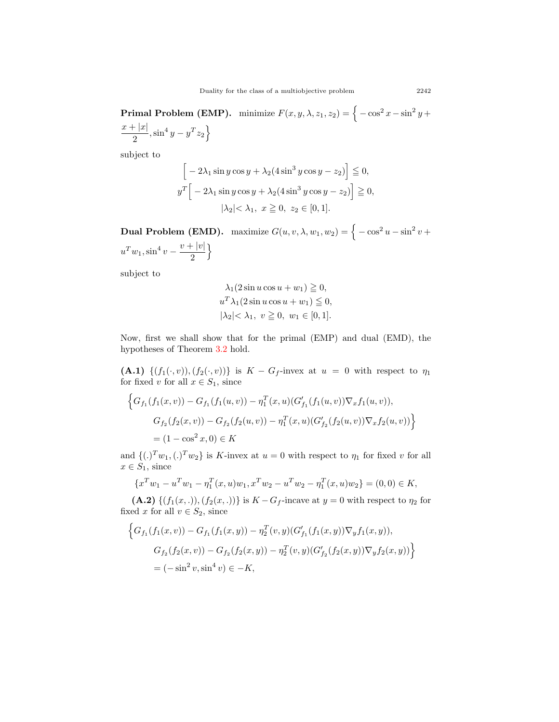**Primal Problem (EMP).** minimize  $F(x, y, \lambda, z_1, z_2) = \left\{ -\cos^2 x - \sin^2 y + \right\}$  $x + |x|$  $\frac{|x|}{2}$ ,  $\sin^4 y - y^T z_2$ 

subject to

$$
\[ -2\lambda_1 \sin y \cos y + \lambda_2 (4 \sin^3 y \cos y - z_2) \] \leqq 0,
$$
  

$$
y^T \left[ -2\lambda_1 \sin y \cos y + \lambda_2 (4 \sin^3 y \cos y - z_2) \right] \geqq 0,
$$
  

$$
|\lambda_2| < \lambda_1, \ x \geqq 0, \ z_2 \in [0, 1].
$$

**Dual Problem (EMD).** maximize  $G(u, v, \lambda, w_1, w_2) = \Big\{-\cos^2 u - \sin^2 v +$  $u^T w_1$ ,  $\sin^4 v - \frac{v + |v|}{2}$ 2  $\mathfrak{f}$ 

subject to

$$
\lambda_1(2\sin u \cos u + w_1) \ge 0,
$$
  

$$
u^T \lambda_1(2\sin u \cos u + w_1) \le 0,
$$
  

$$
|\lambda_2| < \lambda_1, v \ge 0, w_1 \in [0, 1].
$$

Now, first we shall show that for the primal (EMP) and dual (EMD), the hypotheses of Theorem [3.2](#page-6-3) hold.

**(A.1)**  $\{(f_1(\cdot,v)), (f_2(\cdot,v))\}$  is  $K - G_f$ -invex at  $u = 0$  with respect to  $\eta_1$ for fixed *v* for all  $x \in S_1$ , since

$$
\left\{G_{f_1}(f_1(x,v)) - G_{f_1}(f_1(u,v)) - \eta_1^T(x,u)(G'_{f_1}(f_1(u,v))\nabla_x f_1(u,v)),
$$
  
\n
$$
G_{f_2}(f_2(x,v)) - G_{f_2}(f_2(u,v)) - \eta_1^T(x,u)(G'_{f_2}(f_2(u,v))\nabla_x f_2(u,v))\right\}
$$
  
\n
$$
= (1 - \cos^2 x, 0) \in K
$$

and  $\{(.)^T w_1,(.)^T w_2\}$  is *K*-invex at  $u = 0$  with respect to  $\eta_1$  for fixed *v* for all  $x \in S_1$ , since

$$
\{x^T w_1 - u^T w_1 - \eta_1^T(x, u) w_1, x^T w_2 - u^T w_2 - \eta_1^T(x, u) w_2\} = (0, 0) \in K,
$$

**(A.2)**  $\{(f_1(x, .)), (f_2(x, .))\}$  is  $K - G_f$ -incave at  $y = 0$  with respect to  $\eta_2$  for fixed *x* for all  $v \in S_2$ , since

$$
\left\{G_{f_1}(f_1(x,v)) - G_{f_1}(f_1(x,y)) - \eta_2^T(v,y)(G'_{f_1}(f_1(x,y))\nabla_y f_1(x,y)),
$$
  
\n
$$
G_{f_2}(f_2(x,v)) - G_{f_2}(f_2(x,y)) - \eta_2^T(v,y)(G'_{f_2}(f_2(x,y))\nabla_y f_2(x,y))\right\}
$$
  
\n
$$
= (-\sin^2 v, \sin^4 v) \in -K,
$$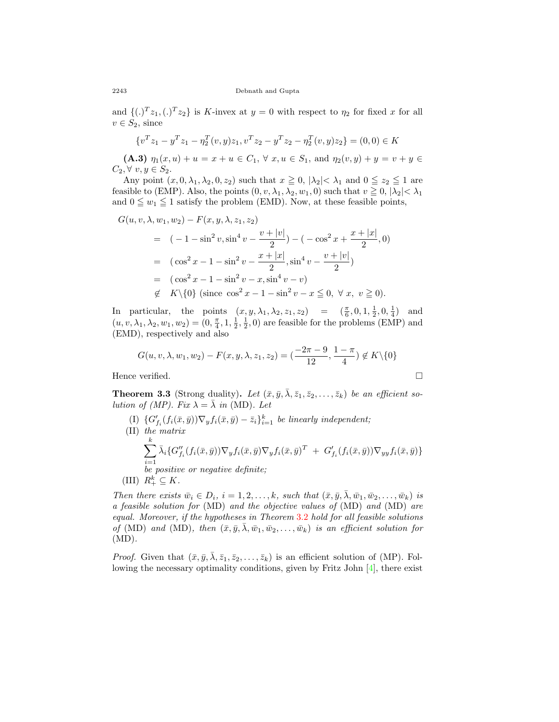and  $\{(.)^T z_1,(.)^T z_2\}$  is *K*-invex at  $y = 0$  with respect to  $\eta_2$  for fixed *x* for all  $v \in S_2$ , since

$$
\{v^T z_1 - y^T z_1 - \eta_2^T (v, y) z_1, v^T z_2 - y^T z_2 - \eta_2^T (v, y) z_2\} = (0, 0) \in K
$$

**(A.3)**  $\eta_1(x, u) + u = x + u \in C_1$ ,  $\forall x, u \in S_1$ , and  $\eta_2(v, y) + y = v + y \in C_1$  $C_2, ∀ v, y ∈ S_2.$ 

Any point  $(x, 0, \lambda_1, \lambda_2, 0, z_2)$  such that  $x \ge 0$ ,  $|\lambda_2| < \lambda_1$  and  $0 \le z_2 \le 1$  are feasible to (EMP). Also, the points  $(0, v, \lambda_1, \lambda_2, w_1, 0)$  such that  $v \ge 0$ ,  $|\lambda_2| < \lambda_1$ and  $0 \leq w_1 \leq 1$  satisfy the problem (EMD). Now, at these feasible points,

$$
G(u, v, \lambda, w_1, w_2) - F(x, y, \lambda, z_1, z_2)
$$
  
=  $(-1 - \sin^2 v, \sin^4 v - \frac{v + |v|}{2}) - (-\cos^2 x + \frac{x + |x|}{2}, 0)$   
=  $(\cos^2 x - 1 - \sin^2 v - \frac{x + |x|}{2}, \sin^4 v - \frac{v + |v|}{2})$   
=  $(\cos^2 x - 1 - \sin^2 v - x, \sin^4 v - v)$   
 $\notin K\{0\} \text{ (since } \cos^2 x - 1 - \sin^2 v - x \le 0, \forall x, v \ge 0).$ 

In particular, the points  $(x, y, \lambda_1, \lambda_2, z_1, z_2) = (\frac{\pi}{6}, 0, 1, \frac{1}{2}, 0, \frac{1}{4})$  and  $(u, v, \lambda_1, \lambda_2, w_1, w_2) = (0, \frac{\pi}{4}, 1, \frac{1}{2}, \frac{1}{2}, 0)$  are feasible for the problems (EMP) and (EMD), respectively and also

$$
G(u, v, \lambda, w_1, w_2) - F(x, y, \lambda, z_1, z_2) = \left(\frac{-2\pi - 9}{12}, \frac{1 - \pi}{4}\right) \notin K \setminus \{0\}
$$

Hence verified.  $\Box$ 

<span id="page-11-0"></span>**Theorem 3.3** (Strong duality). Let  $(\bar{x}, \bar{y}, \bar{\lambda}, \bar{z}_1, \bar{z}_2, \ldots, \bar{z}_k)$  be an efficient so*lution of (MP). Fix*  $\lambda = \overline{\lambda}$  *in* (MD). Let

(I)  $\{G'_{f_i}(f_i(\bar{x}, \bar{y}))\nabla_y f_i(\bar{x}, \bar{y}) - \bar{z}_i\}_{i=1}^k$  be linearly independent; (II) *the matrix* ∑ *k i*=1  $\bar{\lambda}_i \{ G''_{f_i}(f_i(\bar{x}, \bar{y})) \nabla_y f_i(\bar{x}, \bar{y}) \nabla_y f_i(\bar{x}, \bar{y})^T \ + \ G'_{f_i}(f_i(\bar{x}, \bar{y})) \nabla_{yy} f_i(\bar{x}, \bar{y}) \}$ *be positive or negative definite;*  $(R_+^k \subseteq K)$ .

Then there exists  $\bar{w}_i \in D_i$ ,  $i = 1, 2, ..., k$ , such that  $(\bar{x}, \bar{y}, \bar{\lambda}, \bar{w}_1, \bar{w}_2, ..., \bar{w}_k)$  is *a feasible solution for* (MD) *and the objective values of* (MD) *and* (MD) *are equal. Moreover, if the hypotheses in Theorem* [3.2](#page-6-3) *hold for all feasible solutions of* (MD) and (MD), then  $(\bar{x}, \bar{y}, \lambda, \bar{w}_1, \bar{w}_2, \dots, \bar{w}_k)$  is an efficient solution for (MD)*.*

*Proof.* Given that  $(\bar{x}, \bar{y}, \bar{\lambda}, \bar{z}_1, \bar{z}_2, \dots, \bar{z}_k)$  is an efficient solution of (MP). Following the necessary optimality conditions, given by Fritz John  $[4]$  $[4]$ , there exist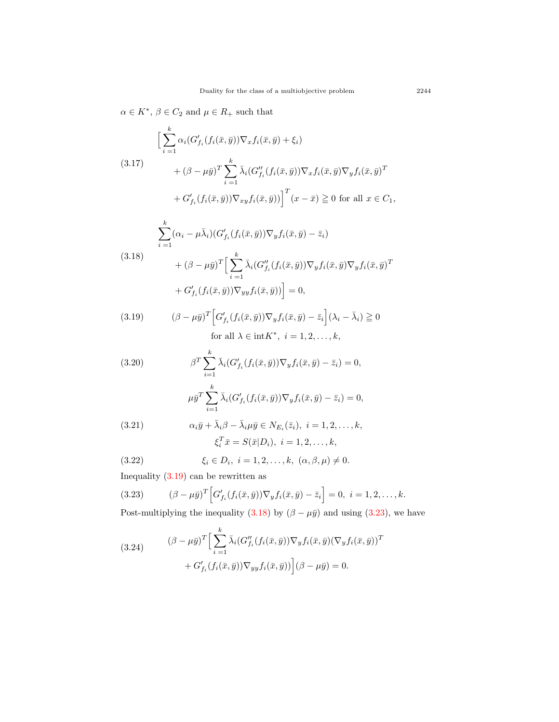$\alpha \in K^*$ ,  $\beta \in C_2$  and  $\mu \in R_+$  such that

$$
\left[\sum_{i=1}^{k} \alpha_i (G'_{f_i}(f_i(\bar{x}, \bar{y})) \nabla_x f_i(\bar{x}, \bar{y}) + \xi_i) \right]
$$
  
\n
$$
+ (\beta - \mu \bar{y})^T \sum_{i=1}^{k} \bar{\lambda}_i (G''_{f_i}(f_i(\bar{x}, \bar{y})) \nabla_x f_i(\bar{x}, \bar{y}) \nabla_y f_i(\bar{x}, \bar{y})^T
$$
  
\n
$$
+ G'_{f_i}(f_i(\bar{x}, \bar{y})) \nabla_{xy} f_i(\bar{x}, \bar{y}) \right]^T (x - \bar{x}) \ge 0 \text{ for all } x \in C_1,
$$

(3.18)  
\n
$$
\sum_{i=1}^{k} (\alpha_i - \mu \bar{\lambda}_i) (G'_{f_i}(f_i(\bar{x}, \bar{y})) \nabla_y f_i(\bar{x}, \bar{y}) - \bar{z}_i)
$$
\n
$$
+ (\beta - \mu \bar{y})^T \Big[ \sum_{i=1}^{k} \bar{\lambda}_i (G''_{f_i}(f_i(\bar{x}, \bar{y})) \nabla_y f_i(\bar{x}, \bar{y}) \nabla_y f_i(\bar{x}, \bar{y})^T
$$
\n
$$
+ G'_{f_i}(f_i(\bar{x}, \bar{y})) \nabla_{yy} f_i(\bar{x}, \bar{y}) \Big] = 0,
$$

<span id="page-12-0"></span>(3.19) 
$$
(\beta - \mu \bar{y})^T \Big[ G'_{f_i}(f_i(\bar{x}, \bar{y})) \nabla_y f_i(\bar{x}, \bar{y}) - \bar{z}_i \Big] (\lambda_i - \bar{\lambda}_i) \ge 0
$$
  
for all  $\lambda \in \text{int} K^*$ ,  $i = 1, 2, ..., k$ ,

<span id="page-12-4"></span>(3.20)  
\n
$$
\beta^T \sum_{i=1}^k \bar{\lambda}_i (G'_{f_i}(f_i(\bar{x}, \bar{y})) \nabla_y f_i(\bar{x}, \bar{y}) - \bar{z}_i) = 0,
$$
\n
$$
\mu \bar{y}^T \sum_{i=1}^k \bar{\lambda}_i (G'_{f_i}(f_i(\bar{x}, \bar{y})) \nabla_y f_i(\bar{x}, \bar{y}) - \bar{z}_i) = 0,
$$
\n(3.21)  
\n
$$
\alpha_i \bar{y} + \bar{\lambda}_i \beta - \bar{\lambda}_i \mu \bar{y} \in N_{E_i}(\bar{z}_i), \quad i = 1, 2, \dots, k,
$$

<span id="page-12-3"></span><span id="page-12-2"></span>
$$
\xi_i^T \bar{x} = S(\bar{x}|D_i), \ i = 1, 2, \ldots, k,
$$

(3.22) 
$$
\xi_i \in D_i, i = 1, 2, ..., k, (\alpha, \beta, \mu) \neq 0.
$$

Inequality  $(3.19)$  $(3.19)$  can be rewritten as

<span id="page-12-1"></span>(3.23) 
$$
(\beta - \mu \bar{y})^T \Big[ G'_{f_i}(f_i(\bar{x}, \bar{y})) \nabla_y f_i(\bar{x}, \bar{y}) - \bar{z}_i \Big] = 0, \ i = 1, 2, \dots, k.
$$

Post-multiplying the inequality ([3.18\)](#page-11-0) by  $(\beta - \mu \bar{y})$  and using ([3.23\)](#page-12-1), we have

(3.24) 
$$
(\beta - \mu \bar{y})^T \Big[ \sum_{i=1}^k \bar{\lambda}_i (G_{f_i}''(f_i(\bar{x}, \bar{y})) \nabla_y f_i(\bar{x}, \bar{y}) (\nabla_y f_i(\bar{x}, \bar{y}))^T + G_{f_i}'(f_i(\bar{x}, \bar{y})) \nabla_{yy} f_i(\bar{x}, \bar{y})) \Big] (\beta - \mu \bar{y}) = 0.
$$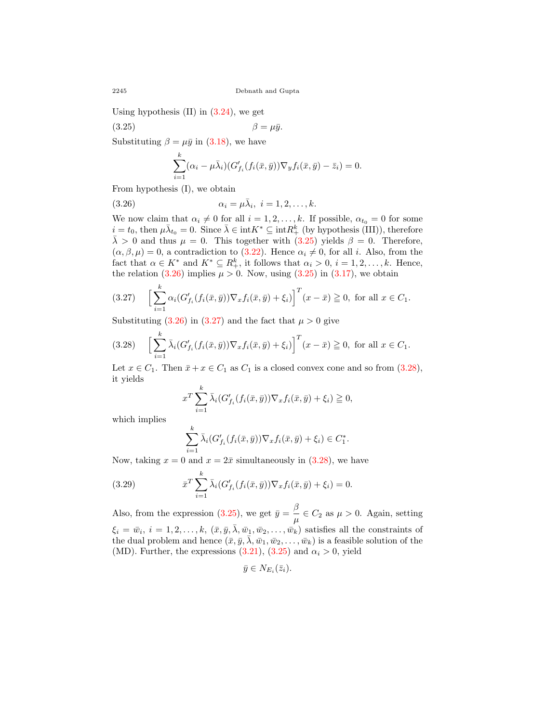Using hypothesis  $(II)$  in  $(3.24)$ , we get

(3.25) *β* = *µy.* ¯

Substituting  $\beta = \mu \bar{y}$  in ([3.18](#page-11-0)), we have

<span id="page-13-1"></span><span id="page-13-0"></span>
$$
\sum_{i=1}^k (\alpha_i - \mu \bar{\lambda}_i) (G'_{f_i}(f_i(\bar{x}, \bar{y})) \nabla_y f_i(\bar{x}, \bar{y}) - \bar{z}_i) = 0.
$$

From hypothesis (I), we obtain

(3.26) 
$$
\alpha_i = \mu \bar{\lambda}_i, \ i = 1, 2, \dots, k.
$$

We now claim that  $\alpha_i \neq 0$  for all  $i = 1, 2, \ldots, k$ . If possible,  $\alpha_{t_0} = 0$  for some  $i = t_0$ , then  $\mu \bar{\lambda}_{t_0} = 0$ . Since  $\bar{\lambda} \in \text{int} K^* \subseteq \text{int} R^k_+$  (by hypothesis (III)), therefore  $\bar{\lambda}$  > 0 and thus  $\mu = 0$ . This together with [\(3.25](#page-13-0)) yields  $\beta = 0$ . Therefore,  $(\alpha, \beta, \mu) = 0$ , a contradiction to  $(3.22)$  $(3.22)$ . Hence  $\alpha_i \neq 0$ , for all *i*. Also, from the fact that  $\alpha \in K^*$  and  $K^* \subseteq R^k_+$ , it follows that  $\alpha_i > 0$ ,  $i = 1, 2, \ldots, k$ . Hence, the relation  $(3.26)$  $(3.26)$  $(3.26)$  implies  $\mu > 0$ . Now, using  $(3.25)$  in  $(3.17)$  $(3.17)$  $(3.17)$ , we obtain

<span id="page-13-2"></span>
$$
(3.27) \quad \left[\sum_{i=1}^k \alpha_i (G'_{f_i}(f_i(\bar{x}, \bar{y})) \nabla_x f_i(\bar{x}, \bar{y}) + \xi_i)\right]^T (x - \bar{x}) \geq 0, \text{ for all } x \in C_1.
$$

Substituting  $(3.26)$  $(3.26)$  in  $(3.27)$  $(3.27)$  and the fact that  $\mu > 0$  give

<span id="page-13-3"></span>
$$
(3.28)\quad \left[\sum_{i=1}^k \bar{\lambda}_i (G'_{f_i}(f_i(\bar{x}, \bar{y})) \nabla_x f_i(\bar{x}, \bar{y}) + \xi_i)\right]^T (x - \bar{x}) \geqq 0, \text{ for all } x \in C_1.
$$

Let  $x \in C_1$ . Then  $\bar{x} + x \in C_1$  as  $C_1$  is a closed convex cone and so from ([3.28\)](#page-13-3), it yields

$$
x^T \sum_{i=1}^k \bar{\lambda}_i (G'_{f_i}(f_i(\bar{x}, \bar{y})) \nabla_x f_i(\bar{x}, \bar{y}) + \xi_i) \geqq 0,
$$

which implies

<span id="page-13-4"></span>
$$
\sum_{i=1}^k \bar{\lambda}_i (G'_{f_i}(f_i(\bar{x}, \bar{y})) \nabla_x f_i(\bar{x}, \bar{y}) + \xi_i) \in C_1^*.
$$

Now, taking  $x = 0$  and  $x = 2\bar{x}$  simultaneously in ([3.28\)](#page-13-3), we have

(3.29) 
$$
\bar{x}^T \sum_{i=1}^k \bar{\lambda}_i (G'_{f_i}(f_i(\bar{x}, \bar{y})) \nabla_x f_i(\bar{x}, \bar{y}) + \xi_i) = 0.
$$

Also, from the expression ([3.25](#page-13-0)), we get  $\bar{y} = \frac{\beta}{\beta}$  $\frac{\mu}{\mu} \in C_2$  as  $\mu > 0$ . Again, setting  $\xi_i = \bar{w}_i, i = 1, 2, \ldots, k, (\bar{x}, \bar{y}, \bar{\lambda}, \bar{w}_1, \bar{w}_2, \ldots, \bar{w}_k)$  satisfies all the constraints of the dual problem and hence  $(\bar{x}, \bar{y}, \bar{\lambda}, \bar{w}_1, \bar{w}_2, \dots, \bar{w}_k)$  is a feasible solution of the (MD). Further, the expressions  $(3.21)$  $(3.21)$  $(3.21)$ ,  $(3.25)$  and  $\alpha_i > 0$ , yield

$$
\bar{y}\in N_{E_i}(\bar{z}_i).
$$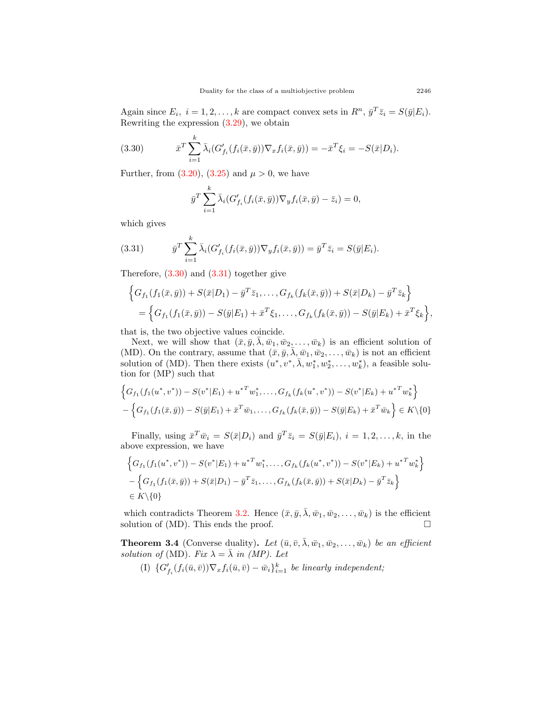Again since  $E_i$ ,  $i = 1, 2, ..., k$  are compact convex sets in  $R^n$ ,  $\bar{y}^T \bar{z}_i = S(\bar{y}|E_i)$ . Rewriting the expression [\(3.29\)](#page-13-4), we obtain

(3.30) 
$$
\bar{x}^T \sum_{i=1}^k \bar{\lambda}_i (G'_{f_i}(f_i(\bar{x}, \bar{y})) \nabla_x f_i(\bar{x}, \bar{y})) = -\bar{x}^T \xi_i = -S(\bar{x}|D_i).
$$

Further, from  $(3.20)$  $(3.20)$ ,  $(3.25)$  $(3.25)$  and  $\mu > 0$ , we have

<span id="page-14-0"></span>
$$
\bar{y}^T \sum_{i=1}^k \bar{\lambda}_i (G'_{f_i}(f_i(\bar{x}, \bar{y})) \nabla_y f_i(\bar{x}, \bar{y}) - \bar{z}_i) = 0,
$$

which gives

<span id="page-14-1"></span>(3.31) 
$$
\bar{y}^T \sum_{i=1}^k \bar{\lambda}_i (G'_{f_i}(f_i(\bar{x}, \bar{y})) \nabla_y f_i(\bar{x}, \bar{y})) = \bar{y}^T \bar{z}_i = S(\bar{y}|E_i).
$$

Therefore,  $(3.30)$  $(3.30)$  and  $(3.31)$  together give

$$
\begin{aligned} \Big\{ G_{f_1}(f_1(\bar{x}, \bar{y})) + S(\bar{x}|D_1) - \bar{y}^T \bar{z}_1, \dots, G_{f_k}(f_k(\bar{x}, \bar{y})) + S(\bar{x}|D_k) - \bar{y}^T \bar{z}_k \Big\} \\ = \Big\{ G_{f_1}(f_1(\bar{x}, \bar{y})) - S(\bar{y}|E_1) + \bar{x}^T \xi_1, \dots, G_{f_k}(f_k(\bar{x}, \bar{y})) - S(\bar{y}|E_k) + \bar{x}^T \xi_k \Big\}, \end{aligned}
$$

that is, the two objective values coincide.

Next, we will show that  $(\bar{x}, \bar{y}, \bar{\lambda}, \bar{w}_1, \bar{w}_2, \dots, \bar{w}_k)$  is an efficient solution of (MD). On the contrary, assume that  $(\bar{x}, \bar{y}, \bar{\lambda}, \bar{w}_1, \bar{w}_2, \dots, \bar{w}_k)$  is not an efficient solution of (MD). Then there exists  $(u^*, v^*, \overline{\lambda}, w_1^*, w_2^*, \ldots, w_k^*)$ , a feasible solution for (MP) such that

$$
\left\{G_{f_1}(f_1(u^*, v^*)) - S(v^*|E_1) + u^{*T}w_1^*, \dots, G_{f_k}(f_k(u^*, v^*)) - S(v^*|E_k) + u^{*T}w_k^*\right\}
$$

$$
-\left\{G_{f_1}(f_1(\bar{x}, \bar{y})) - S(\bar{y}|E_1) + \bar{x}^T\bar{w}_1, \dots, G_{f_k}(f_k(\bar{x}, \bar{y})) - S(\bar{y}|E_k) + \bar{x}^T\bar{w}_k\right\} \in K\setminus\{0\}
$$

Finally, using  $\bar{x}^T \bar{w}_i = S(\bar{x}|D_i)$  and  $\bar{y}^T \bar{z}_i = S(\bar{y}|E_i)$ ,  $i = 1, 2, ..., k$ , in the above expression, we have

$$
\left\{ G_{f_1}(f_1(u^*, v^*)) - S(v^*|E_1) + u^{*T}w_1^*, \dots, G_{f_k}(f_k(u^*, v^*)) - S(v^*|E_k) + u^{*T}w_k^* \right\}
$$
  
 
$$
- \left\{ G_{f_1}(f_1(\bar{x}, \bar{y})) + S(\bar{x}|D_1) - \bar{y}^T \bar{z}_1, \dots, G_{f_k}(f_k(\bar{x}, \bar{y})) + S(\bar{x}|D_k) - \bar{y}^T \bar{z}_k \right\}
$$
  
 
$$
\in K \setminus \{0\}
$$

which contradicts Theorem [3.2.](#page-6-3) Hence  $(\bar{x}, \bar{y}, \bar{\lambda}, \bar{w}_1, \bar{w}_2, \dots, \bar{w}_k)$  is the efficient solution of (MD). This ends the proof.  $\Box$ 

**Theorem 3.4** (Converse duality). Let  $(\bar{u}, \bar{v}, \bar{\lambda}, \bar{w}_1, \bar{w}_2, \dots, \bar{w}_k)$  be an efficient *solution of* (MD). Fix  $\lambda = \overline{\lambda}$  *in (MP). Let* 

(I)  $\{G'_{f_i}(f_i(\bar{u},\bar{v}))\nabla_x f_i(\bar{u},\bar{v}) - \bar{w}_i\}_{i=1}^k$  be linearly independent;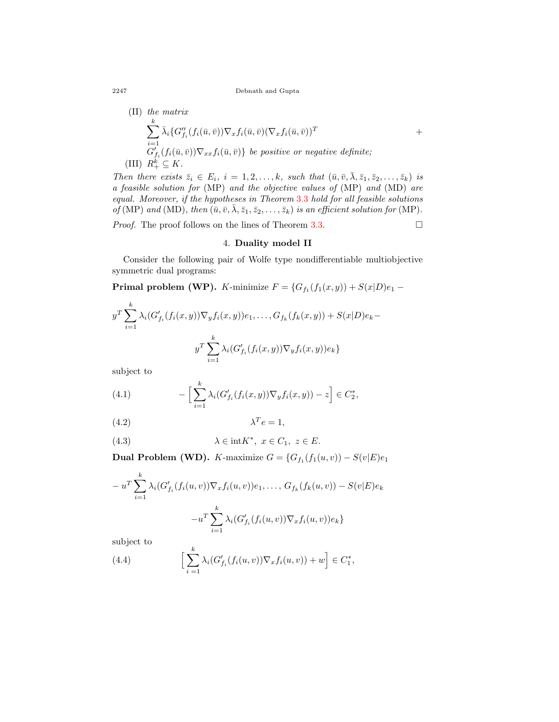2247 Debnath and Gupta

(II) the matrix  
\n
$$
\sum_{i=1}^{k} \bar{\lambda}_i \{ G''_{f_i}(f_i(\bar{u}, \bar{v})) \nabla_x f_i(\bar{u}, \bar{v}) (\nabla_x f_i(\bar{u}, \bar{v}))^T
$$
\n+  
\n
$$
G'_{f_i}(f_i(\bar{u}, \bar{v})) \nabla_{xx} f_i(\bar{u}, \bar{v}) \} be positive or negative definite;\n(III)  $R_+^k \subseteq K$ .
$$

Then there exists  $\bar{z}_i \in E_i$ ,  $i = 1, 2, ..., k$ , such that  $(\bar{u}, \bar{v}, \bar{\lambda}, \bar{z}_1, \bar{z}_2, ..., \bar{z}_k)$  is *a feasible solution for* (MP) *and the objective values of* (MP) *and* (MD) *are equal. Moreover, if the hypotheses in Theorem* [3.3](#page-11-0) *hold for all feasible solutions of* (MP) *and* (MD)*, then*  $(\bar{u}, \bar{v}, \bar{\lambda}, \bar{z}_1, \bar{z}_2, \dots, \bar{z}_k)$  *is an efficient solution for* (MP).

*Proof.* The proof follows on the lines of Theorem [3.3](#page-11-0).  $\Box$ 

#### 4. **Duality model II**

Consider the following pair of Wolfe type nondifferentiable multiobjective symmetric dual programs:

**Primal problem (WP).** *K*-minimize  $F = \{G_{f_1}(f_1(x,y)) + S(x|D)e_1 -$ 

$$
y^T \sum_{i=1}^k \lambda_i (G'_{f_i}(f_i(x, y)) \nabla_y f_i(x, y)) e_1, \dots, G_{f_k}(f_k(x, y)) + S(x|D) e_k - y^T \sum_{i=1}^k \lambda_i (G'_{f_i}(f_i(x, y)) \nabla_y f_i(x, y)) e_k \}
$$

subject to

<span id="page-15-3"></span>(4.1) 
$$
- \left[ \sum_{i=1}^{k} \lambda_i (G'_{f_i}(f_i(x,y)) \nabla_y f_i(x,y)) - z \right] \in C_2^*,
$$

<span id="page-15-0"></span>
$$
\lambda^T e = 1,
$$

<span id="page-15-1"></span>(4.3) 
$$
\lambda \in \text{int} K^*, \ x \in C_1, \ z \in E.
$$

<span id="page-15-2"></span>**Dual Problem (WD).** *K*-maximize  $G = \{G_{f_1}(f_1(u,v)) - S(v|E)e_1\}$ 

$$
-u^T \sum_{i=1}^k \lambda_i (G'_{f_i}(f_i(u, v)) \nabla_x f_i(u, v)) e_1, \dots, G_{f_k}(f_k(u, v)) - S(v|E) e_k
$$

$$
-u^T \sum_{i=1}^k \lambda_i (G'_{f_i}(f_i(u, v)) \nabla_x f_i(u, v)) e_k \}
$$

subject to

(4.4) 
$$
\left[\sum_{i=1}^k \lambda_i (G'_{f_i}(f_i(u,v))\nabla_x f_i(u,v)) + w\right] \in C_1^*,
$$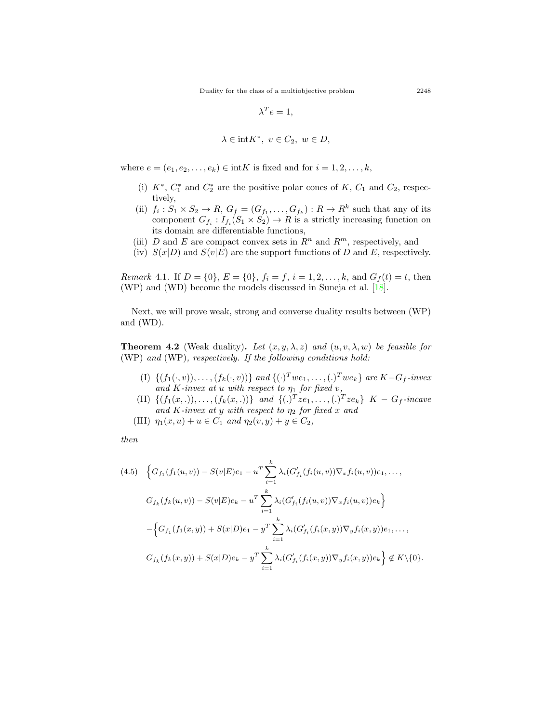$$
\lambda^T e = 1,
$$
  

$$
\lambda \in \text{int} K^*, \ v \in C_2, \ w \in D,
$$

where  $e = (e_1, e_2, \dots, e_k) \in \text{int}K$  is fixed and for  $i = 1, 2, \dots, k$ ,

- (i)  $K^*$ ,  $C_1^*$  and  $C_2^*$  are the positive polar cones of  $K$ ,  $C_1$  and  $C_2$ , respectively,
- (ii)  $f_i: S_1 \times S_2 \to R$ ,  $G_f = (G_{f_1}, \ldots, G_{f_k}) : R \to R^k$  such that any of its component  $G_{f_i}: I_{f_i}(S_1 \times S_2) \to R$  is a strictly increasing function on its domain are differentiable functions,
- (iii) *D* and *E* are compact convex sets in  $R^n$  and  $R^m$ , respectively, and
- (iv)  $S(x|D)$  and  $S(v|E)$  are the support functions of *D* and *E*, respectively.

*Remark* 4.1. If  $D = \{0\}$ ,  $E = \{0\}$ ,  $f_i = f, i = 1, 2, \ldots, k$ , and  $G_f(t) = t$ , then (WP) and (WD) become the models discussed in Suneja et al. [\[18](#page-26-10)].

Next, we will prove weak, strong and converse duality results between (WP) and (WD).

<span id="page-16-1"></span>**Theorem 4.2** (Weak duality). Let  $(x, y, \lambda, z)$  and  $(u, v, \lambda, w)$  be feasible for (WP) *and* (WP)*, respectively. If the following conditions hold:*

- (I)  $\{(f_1(\cdot,v)), \ldots, (f_k(\cdot,v))\}$  and  $\{(\cdot)^Twe_1, \ldots, (\cdot)^Twe_k\}$  are  $K-G_f$ -invex *and*  $K$ *-invex at u with respect to*  $\eta_1$  *for fixed*  $v$ *,*
- (II)  $\{(f_1(x,.)), \ldots, (f_k(x,.))\}$  and  $\{(.)^T z e_1, \ldots,(.)^T z e_k\}$   $K G_f$ -incave *and K-invex at y with respect to η*<sup>2</sup> *for fixed x and*
- (III)  $\eta_1(x, u) + u \in C_1$  *and*  $\eta_2(v, y) + y \in C_2$ ,

*then*

<span id="page-16-0"></span>
$$
(4.5) \quad \Big\{G_{f_1}(f_1(u,v)) - S(v|E)e_1 - u^T \sum_{i=1}^k \lambda_i (G'_{f_i}(f_i(u,v))\nabla_x f_i(u,v))e_1, \dots, G_{f_k}(f_k(u,v)) - S(v|E)e_k - u^T \sum_{i=1}^k \lambda_i (G'_{f_i}(f_i(u,v))\nabla_x f_i(u,v))e_k \Big\}
$$

$$
- \Big\{G_{f_1}(f_1(x,y)) + S(x|D)e_1 - y^T \sum_{i=1}^k \lambda_i (G'_{f_i}(f_i(x,y))\nabla_y f_i(x,y))e_1, \dots, G_{f_k}(f_k(x,y)) + S(x|D)e_k - y^T \sum_{i=1}^k \lambda_i (G'_{f_i}(f_i(x,y))\nabla_y f_i(x,y))e_k \Big\} \notin K \setminus \{0\}.
$$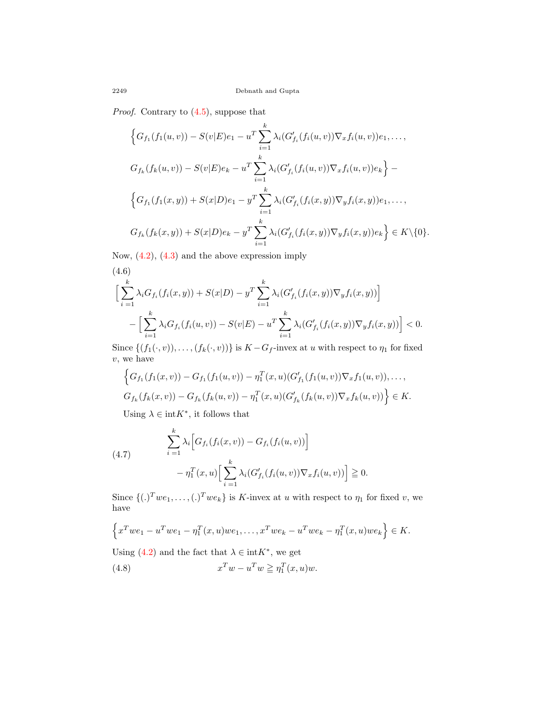*Proof.* Contrary to  $(4.5)$  $(4.5)$ , suppose that

$$
\left\{G_{f_1}(f_1(u,v)) - S(v|E)e_1 - u^T \sum_{i=1}^k \lambda_i (G'_{f_i}(f_i(u,v))\nabla_x f_i(u,v))e_1, \dots, \right\}
$$
  

$$
G_{f_k}(f_k(u,v)) - S(v|E)e_k - u^T \sum_{i=1}^k \lambda_i (G'_{f_i}(f_i(u,v))\nabla_x f_i(u,v))e_k\right\} - \left\{G_{f_1}(f_1(x,y)) + S(x|D)e_1 - y^T \sum_{i=1}^k \lambda_i (G'_{f_i}(f_i(x,y))\nabla_y f_i(x,y))e_1, \dots, \right\}
$$
  

$$
G_{f_k}(f_k(x,y)) + S(x|D)e_k - y^T \sum_{i=1}^k \lambda_i (G'_{f_i}(f_i(x,y))\nabla_y f_i(x,y))e_k\right\} \in K \setminus \{0\}.
$$

Now, [\(4.2](#page-15-0)), ([4.3\)](#page-15-1) and the above expression imply

$$
(4.6) \left[ \sum_{i=1}^{k} \lambda_{i} G_{f_{i}}(f_{i}(x, y)) + S(x|D) - y^{T} \sum_{i=1}^{k} \lambda_{i} (G'_{f_{i}}(f_{i}(x, y)) \nabla_{y} f_{i}(x, y)) \right] - \left[ \sum_{i=1}^{k} \lambda_{i} G_{f_{i}}(f_{i}(u, v)) - S(v|E) - u^{T} \sum_{i=1}^{k} \lambda_{i} (G'_{f_{i}}(f_{i}(x, y)) \nabla_{y} f_{i}(x, y)) \right] < 0.
$$

Since  $\{(f_1(\cdot, v)), \ldots, (f_k(\cdot, v))\}$  is  $K - G_f$ -invex at *u* with respect to  $\eta_1$  for fixed *v*, we have

$$
\left\{G_{f_1}(f_1(x,v)) - G_{f_1}(f_1(u,v)) - \eta_1^T(x,u)(G'_{f_1}(f_1(u,v))\nabla_x f_1(u,v)), \ldots, G_{f_k}(f_k(x,v)) - G_{f_k}(f_k(u,v)) - \eta_1^T(x,u)(G'_{f_k}(f_k(u,v))\nabla_x f_k(u,v))\right\} \in K.
$$

Using  $\lambda \in \text{int}K^*$ , it follows that

(4.7) 
$$
\sum_{i=1}^{k} \lambda_i \Big[ G_{f_i}(f_i(x, v)) - G_{f_i}(f_i(u, v)) \Big] - \eta_1^T(x, u) \Big[ \sum_{i=1}^{k} \lambda_i (G'_{f_i}(f_i(u, v)) \nabla_x f_i(u, v)) \Big] \geq 0.
$$

Since  $\{(.)^T we_1, \ldots, (.)^T we_k\}$  is *K*-invex at *u* with respect to  $\eta_1$  for fixed *v*, we have

$$
\left\{x^Twe_1 - u^Twe_1 - \eta_1^T(x, u)we_1, \dots, x^Twe_k - u^Twe_k - \eta_1^T(x, u)we_k\right\} \in K.
$$

Using  $(4.2)$  $(4.2)$  and the fact that  $\lambda \in \text{int}K^*$ , we get

<span id="page-17-0"></span>(4.8) 
$$
x^T w - u^T w \geq \eta_1^T(x, u) w.
$$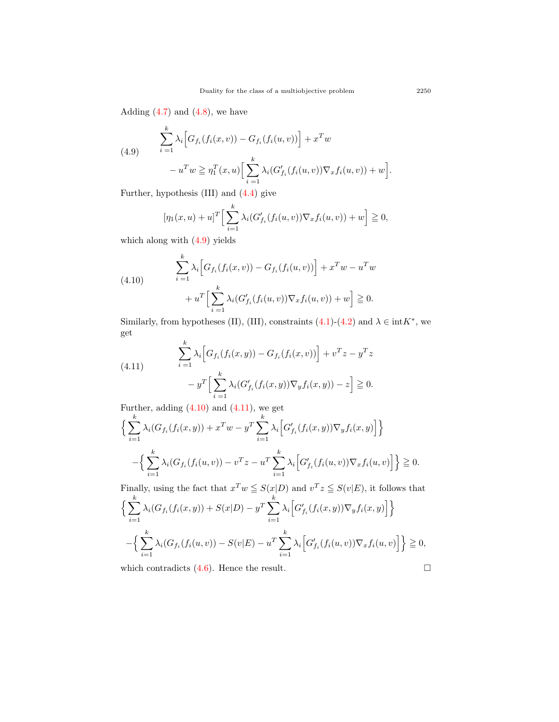Adding  $(4.7)$  and  $(4.8)$  $(4.8)$ , we have

(4.9) 
$$
\sum_{i=1}^{k} \lambda_i \Big[ G_{f_i}(f_i(x, v)) - G_{f_i}(f_i(u, v)) \Big] + x^T w - u^T w \ge \eta_1^T(x, u) \Big[ \sum_{i=1}^{k} \lambda_i (G'_{f_i}(f_i(u, v)) \nabla_x f_i(u, v)) + w \Big].
$$

Further, hypothesis (III) and ([4.4\)](#page-15-2) give

$$
[\eta_1(x, u) + u]^T \Big[ \sum_{i=1}^k \lambda_i (G'_{f_i}(f_i(u, v)) \nabla_x f_i(u, v)) + w \Big] \geqq 0,
$$

which along with ([4.9](#page-17-0)) yields

(4.10) 
$$
\sum_{i=1}^{k} \lambda_i \Big[ G_{f_i}(f_i(x, v)) - G_{f_i}(f_i(u, v)) \Big] + x^T w - u^T w
$$

$$
+ u^T \Big[ \sum_{i=1}^{k} \lambda_i (G'_{f_i}(f_i(u, v)) \nabla_x f_i(u, v)) + w \Big] \geqq 0.
$$

Similarly, from hypotheses (II), (III), constraints  $(4.1)-(4.2)$  $(4.1)-(4.2)$  $(4.1)-(4.2)$  and  $\lambda \in \text{int}K^*$ , we get

(4.11) 
$$
\sum_{i=1}^{k} \lambda_i \Big[ G_{f_i}(f_i(x, y)) - G_{f_i}(f_i(x, v)) \Big] + v^T z - y^T z - y^T \Big[ \sum_{i=1}^{k} \lambda_i (G'_{f_i}(f_i(x, y)) \nabla_y f_i(x, y)) - z \Big] \geqq 0.
$$

Further, adding  $(4.10)$  $(4.10)$  $(4.10)$  and  $(4.11)$  $(4.11)$  $(4.11)$ , we get

$$
\left\{ \sum_{i=1}^{k} \lambda_i (G_{f_i}(f_i(x, y)) + x^T w - y^T \sum_{i=1}^{k} \lambda_i \Big[ G'_{f_i}(f_i(x, y)) \nabla_y f_i(x, y) \Big] \right\}
$$

$$
- \left\{ \sum_{i=1}^{k} \lambda_i (G_{f_i}(f_i(u, v)) - v^T z - u^T \sum_{i=1}^{k} \lambda_i \Big[ G'_{f_i}(f_i(u, v)) \nabla_x f_i(u, v) \Big] \right\} \ge 0.
$$

Finally, using the fact that  $x^T w \leq S(x|D)$  and  $v^T z \leq S(v|E)$ , it follows that  $\int \frac{k}{\sqrt{2k}}$ *i*=1  $\lambda_i(G_{f_i}(f_i(x,y)) + S(x|D) - y^T \sum_{i=1}^k f_i(x,y)$ *i*=1  $\lambda_i \left[ G'_{f_i}(f_i(x,y)) \nabla_y f_i(x,y) \right]$ 

$$
-\Big\{\sum_{i=1}^k \lambda_i (G_{f_i}(f_i(u,v)) - S(v|E) - u^T \sum_{i=1}^k \lambda_i \Big[ G'_{f_i}(f_i(u,v)) \nabla_x f_i(u,v) \Big] \Big\} \geqq 0,
$$

which contradicts  $(4.6)$  $(4.6)$  $(4.6)$ . Hence the result.  $\Box$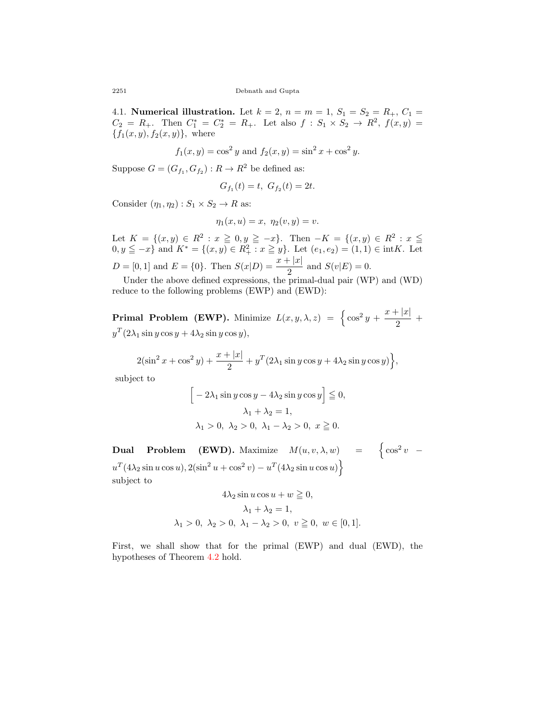4.1. **Numerical illustration.** Let  $k = 2$ ,  $n = m = 1$ ,  $S_1 = S_2 = R_+$ ,  $C_1 =$  $C_2 = R_+$ . Then  $C_1^* = C_2^* = R_+$ . Let also  $f : S_1 \times S_2 \to R^2$ ,  $f(x, y) =$  ${f_1(x, y), f_2(x, y)}$ , where

$$
f_1(x, y) = \cos^2 y
$$
 and  $f_2(x, y) = \sin^2 x + \cos^2 y$ .

Suppose  $G = (G_{f_1}, G_{f_2}) : R \to R^2$  be defined as:

$$
G_{f_1}(t) = t, \ G_{f_2}(t) = 2t.
$$

Consider  $(\eta_1, \eta_2) : S_1 \times S_2 \to R$  as:

$$
\eta_1(x, u) = x, \ \eta_2(v, y) = v.
$$

Let  $K = \{(x, y) \in R^2 : x \ge 0, y \ge -x\}$ . Then  $-K = \{(x, y) \in R^2 : x \le$  $0, y \leq -x$ } and  $K^* = \{(x, y) \in R_+^2 : x \geq y\}$ . Let  $(e_1, e_2) = (1, 1) \in \text{int}K$ . Let  $D = [0, 1]$  and  $E = \{0\}$ . Then  $S(x|D) = \frac{x + |x|}{2}$  and  $S(v|E) = 0$ .

Under the above defined expressions, the primal-dual pair (WP) and (WD) reduce to the following problems (EWP) and (EWD):

**Primal Problem (EWP).** Minimize  $L(x, y, \lambda, z) = \begin{cases} \cos^2 y + \frac{x + |x|}{2} \end{cases}$  $\frac{1}{2}$  +  $y^T(2\lambda_1 \sin y \cos y + 4\lambda_2 \sin y \cos y)$ *,* 

$$
2(\sin^2 x + \cos^2 y) + \frac{x+|x|}{2} + y^T (2\lambda_1 \sin y \cos y + 4\lambda_2 \sin y \cos y) \Big\},
$$

subject to

$$
\[ -2\lambda_1 \sin y \cos y - 4\lambda_2 \sin y \cos y \] \leqq 0,
$$
  

$$
\lambda_1 + \lambda_2 = 1,
$$
  

$$
\lambda_1 > 0, \ \lambda_2 > 0, \ \lambda_1 - \lambda_2 > 0, \ x \geqq 0.
$$

**Dual Problem (EWD).** Maximize  $M(u, v, \lambda, w)$  =  $\begin{cases} \cos^2 v & - \end{cases}$  $u^T(4\lambda_2 \sin u \cos u), 2(\sin^2 u + \cos^2 v) - u^T(4\lambda_2 \sin u \cos u)$ subject to

$$
4\lambda_2 \sin u \cos u + w \ge 0,
$$
  
\n
$$
\lambda_1 + \lambda_2 = 1,
$$
  
\n
$$
\lambda_1 > 0, \ \lambda_2 > 0, \ \lambda_1 - \lambda_2 > 0, \ v \ge 0, \ w \in [0, 1].
$$

First, we shall show that for the primal (EWP) and dual (EWD), the hypotheses of Theorem [4.2](#page-16-1) hold.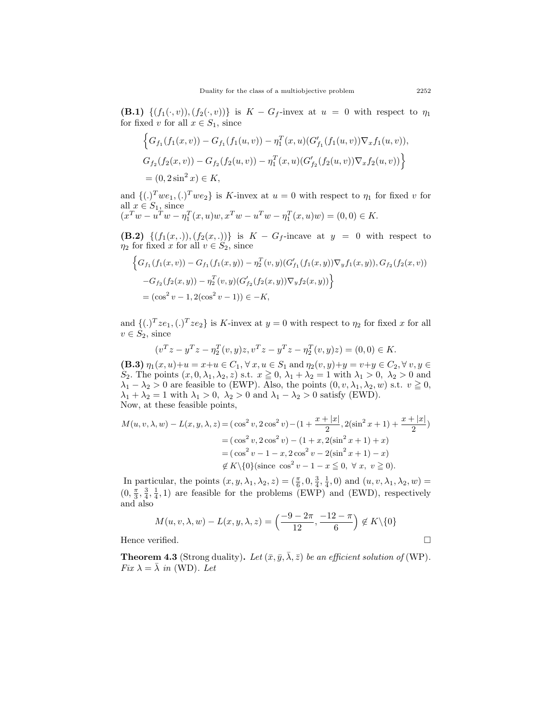**(B.1)**  $\{(f_1(\cdot, v)), (f_2(\cdot, v))\}$  is  $K - G_f$ -invex at  $u = 0$  with respect to  $\eta_1$ for fixed *v* for all  $x \in S_1$ , since

$$
\left\{ G_{f_1}(f_1(x,v)) - G_{f_1}(f_1(u,v)) - \eta_1^T(x,u)(G'_{f_1}(f_1(u,v))\nabla_x f_1(u,v)),
$$
  
\n
$$
G_{f_2}(f_2(x,v)) - G_{f_2}(f_2(u,v)) - \eta_1^T(x,u)(G'_{f_2}(f_2(u,v))\nabla_x f_2(u,v)) \right\}
$$
  
\n= (0,2 sin<sup>2</sup> x) \in K,

and  $\{(.)^T we_1,(.)^T we_2\}$  is *K*-invex at  $u = 0$  with respect to  $\eta_1$  for fixed *v* for all  $x \in S_1$ , since  $(x^T w - u^T w - \eta_1^T(x, u) w, x^T w - u^T w - \eta_1^T(x, u) w) = (0, 0) \in K.$ 

**(B.2)**  $\{(f_1(x, .)), (f_2(x, .))\}$  is  $K - G_f$ -incave at  $y = 0$  with respect to *η*<sub>2</sub> for fixed *x* for all  $v \in S_2$ , since

$$
\begin{aligned} &\Big\{G_{f_1}(f_1(x,v))-G_{f_1}(f_1(x,y))- \eta_2^T(v,y)(G'_{f_1}(f_1(x,y))\nabla_y f_1(x,y)), G_{f_2}(f_2(x,v))\\ &-G_{f_2}(f_2(x,y))- \eta_2^T(v,y)(G'_{f_2}(f_2(x,y))\nabla_y f_2(x,y))\Big\}\\ &=\big(\cos^2v-1,2(\cos^2v-1)\big)\in -K,\end{aligned}
$$

and  $\{(.)^T z e_1,(.)^T z e_2\}$  is *K*-invex at  $y = 0$  with respect to  $\eta_2$  for fixed *x* for all  $v \in S_2$ , since

$$
(v^T z - y^T z - \eta_2^T(v, y)z, v^T z - y^T z - \eta_2^T(v, y)z) = (0, 0) \in K.
$$

**(B.3)**  $\eta_1(x, u) + u = x + u \in C_1$ ,  $\forall x, u \in S_1$  and  $\eta_2(v, y) + y = v + y \in C_2$ ,  $\forall v, y \in C_1$ *S*<sub>2</sub>. The points  $(x, 0, \lambda_1, \lambda_2, z)$  s.t.  $x \ge 0$ ,  $\lambda_1 + \lambda_2 = 1$  with  $\lambda_1 > 0$ ,  $\lambda_2 > 0$  and  $\lambda_1 - \lambda_2 > 0$  are feasible to (EWP). Also, the points  $(0, v, \lambda_1, \lambda_2, w)$  s.t.  $v \ge 0$ ,  $\lambda_1 + \lambda_2 = 1$  with  $\lambda_1 > 0$ ,  $\lambda_2 > 0$  and  $\lambda_1 - \lambda_2 > 0$  satisfy (EWD). Now, at these feasible points,

$$
M(u, v, \lambda, w) - L(x, y, \lambda, z) = (\cos^2 v, 2\cos^2 v) - (1 + \frac{x + |x|}{2}, 2(\sin^2 x + 1) + \frac{x + |x|}{2})
$$
  
=  $(\cos^2 v, 2\cos^2 v) - (1 + x, 2(\sin^2 x + 1) + x)$   
=  $(\cos^2 v - 1 - x, 2\cos^2 v - 2(\sin^2 x + 1) - x)$   
\$\notin K\{0\} (since  $\cos^2 v - 1 - x \le 0, \forall x, v \ge 0)$ .

In particular, the points  $(x, y, \lambda_1, \lambda_2, z) = (\frac{\pi}{6}, 0, \frac{3}{4}, \frac{1}{4}, 0)$  and  $(u, v, \lambda_1, \lambda_2, w) =$  $(0, \frac{\pi}{3}, \frac{3}{4}, \frac{1}{4}, 1)$  are feasible for the problems (EWP) and (EWD), respectively and also

$$
M(u, v, \lambda, w) - L(x, y, \lambda, z) = \left(\frac{-9 - 2\pi}{12}, \frac{-12 - \pi}{6}\right) \notin K \setminus \{0\}
$$

Hence verified.  $\Box$ 

<span id="page-20-0"></span>**Theorem 4.3** (Strong duality). Let  $(\bar{x}, \bar{y}, \bar{\lambda}, \bar{z})$  *be an efficient solution of* (WP). *Fix*  $\lambda = \overline{\lambda}$  *in* (WD)*. Let*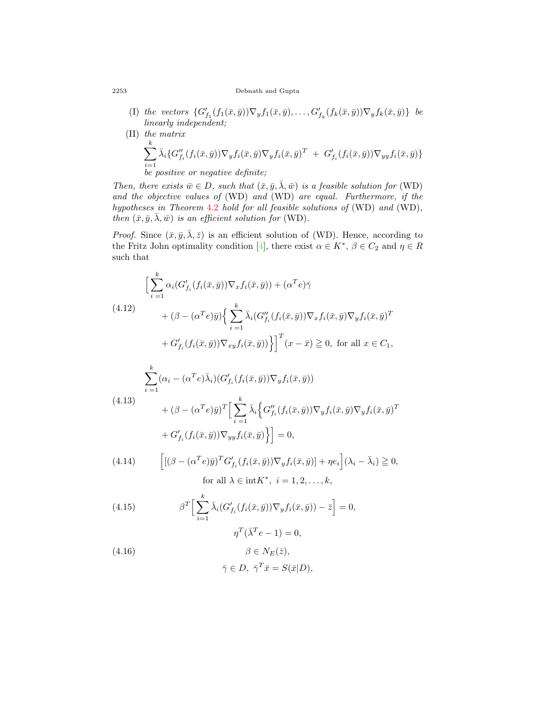#### 2253 Debnath and Gupta

- (I) the vectors  $\{G'_{f_1}(f_1(\bar{x}, \bar{y}))\nabla_y f_1(\bar{x}, \bar{y}), \ldots, G'_{f_k}(f_k(\bar{x}, \bar{y}))\nabla_y f_k(\bar{x}, \bar{y})\}$  be *linearly independent;*
- (II) *the matrix* ∑ *k i*=1  $\bar{\lambda}_i \{ G''_{f_i}(f_i(\bar{x}, \bar{y})) \nabla_y f_i(\bar{x}, \bar{y}) \nabla_y f_i(\bar{x}, \bar{y})^T \ + \ G'_{f_i}(f_i(\bar{x}, \bar{y})) \nabla_{yy} f_i(\bar{x}, \bar{y}) \}$ *be positive or negative definite;*

*Then, there exists*  $\bar{w} \in D$ *, such that*  $(\bar{x}, \bar{y}, \bar{\lambda}, \bar{w})$  *is a feasible solution for* (WD) *and the objective values of* (WD) *and* (WD) *are equal. Furthermore, if the hypotheses in Theorem* [4.2](#page-16-1) *hold for all feasible solutions of* (WD) *and* (WD)*, then*  $(\bar{x}, \bar{y}, \bar{\lambda}, \bar{w})$  *is an efficient solution for* (WD).

*Proof.* Since  $(\bar{x}, \bar{y}, \bar{\lambda}, \bar{z})$  is an efficient solution of (WD). Hence, according to the Fritz John optimality condition [\[4](#page-25-9)], there exist  $\alpha \in K^*$ ,  $\beta \in C_2$  and  $\eta \in R$ such that

$$
\left[\sum_{i=1}^{k} \alpha_i (G'_{f_i}(f_i(\bar{x}, \bar{y})) \nabla_x f_i(\bar{x}, \bar{y})) + (\alpha^T e) \bar{\gamma} \right]
$$
  
\n
$$
+ (\beta - (\alpha^T e) \bar{y}) \Big\{ \sum_{i=1}^{k} \bar{\lambda}_i (G''_{f_i}(f_i(\bar{x}, \bar{y})) \nabla_x f_i(\bar{x}, \bar{y}) \nabla_y f_i(\bar{x}, \bar{y})^T
$$
  
\n
$$
+ G'_{f_i}(f_i(\bar{x}, \bar{y})) \nabla_{xy} f_i(\bar{x}, \bar{y}) \Big\} \Big]^T (x - \bar{x}) \ge 0, \text{ for all } x \in C_1,
$$

$$
\sum_{i=1}^{k} (\alpha_i - (\alpha^T e) \bar{\lambda}_i) (G'_{f_i}(f_i(\bar{x}, \bar{y})) \nabla_y f_i(\bar{x}, \bar{y}))
$$
\n
$$
+ (\beta - (\alpha^T e) \bar{y})^T \Big[ \sum_{i=1}^{k} \bar{\lambda}_i \Big\{ G''_{f_i}(f_i(\bar{x}, \bar{y})) \nabla_y f_i(\bar{x}, \bar{y}) \nabla_y f_i(\bar{x}, \bar{y})^T
$$
\n
$$
+ G'_{f_i}(f_i(\bar{x}, \bar{y})) \nabla_{yy} f_i(\bar{x}, \bar{y}) \Big\} \Big] = 0,
$$

<span id="page-21-0"></span>(4.14) 
$$
\left[ [(\beta - (\alpha^T e) \bar{y})^T G'_{f_i}(f_i(\bar{x}, \bar{y})) \nabla_y f_i(\bar{x}, \bar{y})] + \eta e_i \right] (\lambda_i - \bar{\lambda}_i) \geq 0,
$$
  
for all  $\lambda \in \text{int} K^*$ ,  $i = 1, 2, ..., k$ ,

<span id="page-21-2"></span>(4.15) 
$$
\beta^T \Big[ \sum_{i=1}^k \bar{\lambda}_i (G'_{f_i}(f_i(\bar{x}, \bar{y})) \nabla_y f_i(\bar{x}, \bar{y})) - \bar{z} \Big] = 0,
$$

$$
n^T (\bar{\lambda}^T e - 1) = 0
$$

(4.16) 
$$
\eta^T(\bar{\lambda}^T e - 1) = 0,
$$

$$
\beta \in N_E(\bar{z}),
$$

<span id="page-21-1"></span>
$$
\bar{\gamma} \in D, \ \bar{\gamma}^T \bar{x} = S(\bar{x}|D),
$$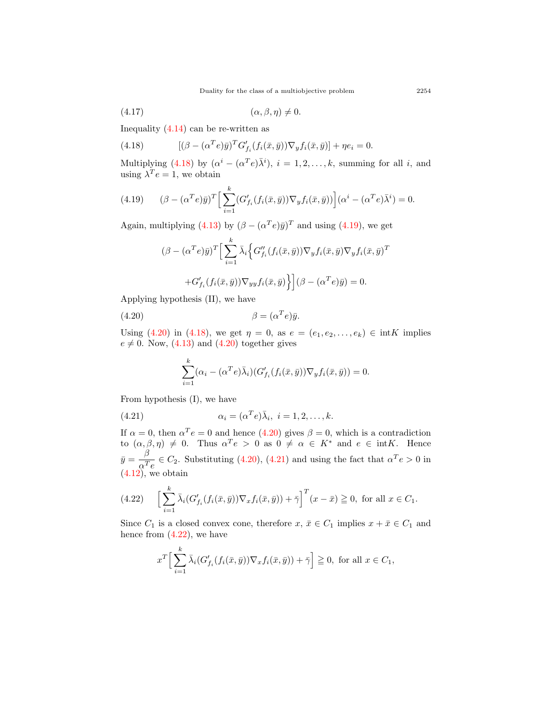<span id="page-22-0"></span>Duality for the class of a multiobjective problem 2254

$$
(4.17) \qquad \qquad (\alpha, \beta, \eta) \neq 0.
$$

Inequality  $(4.14)$  $(4.14)$  can be re-written as

(4.18) 
$$
[(\beta - (\alpha^T e)\overline{y})^T G'_{f_i}(f_i(\overline{x}, \overline{y})) \nabla_y f_i(\overline{x}, \overline{y})] + \eta e_i = 0.
$$

Multiplying ([4.18\)](#page-22-0) by  $(\alpha^{i} - (\alpha^{T}e)\overline{\lambda}^{i})$ ,  $i = 1, 2, ..., k$ , summing for all *i*, and using  $\lambda^T e = 1$ , we obtain

<span id="page-22-1"></span>(4.19) 
$$
(\beta - (\alpha^T e) \bar{y})^T \Big[ \sum_{i=1}^k (G'_{f_i}(f_i(\bar{x}, \bar{y})) \nabla_y f_i(\bar{x}, \bar{y})) \Big] (\alpha^i - (\alpha^T e) \bar{\lambda}^i) = 0.
$$

Again, multiplying  $(4.13)$  $(4.13)$  by  $(\beta - (\alpha^T e)\bar{y})^T$  and using  $(4.19)$  $(4.19)$ , we get

$$
(\beta - (\alpha^T e) \bar{y})^T \Big[ \sum_{i=1}^k \bar{\lambda}_i \Big\{ G''_{f_i}(f_i(\bar{x}, \bar{y})) \nabla_y f_i(\bar{x}, \bar{y}) \nabla_y f_i(\bar{x}, \bar{y})^T
$$

$$
+ G'_{f_i}(f_i(\bar{x}, \bar{y})) \nabla_{yy} f_i(\bar{x}, \bar{y}) \Big\} \Big] (\beta - (\alpha^T e) \bar{y}) = 0.
$$

Applying hypothesis (II), we have

(4.20) 
$$
\beta = (\alpha^T e) \bar{y}.
$$

Using ([4.20\)](#page-22-2) in [\(4.18](#page-22-0)), we get  $\eta = 0$ , as  $e = (e_1, e_2, \dots, e_k) \in \text{int } K$  implies  $e \neq 0$ . Now,  $(4.13)$  $(4.13)$  $(4.13)$  and  $(4.20)$  $(4.20)$  $(4.20)$  together gives

<span id="page-22-3"></span><span id="page-22-2"></span>
$$
\sum_{i=1}^k (\alpha_i - (\alpha^T e) \bar{\lambda}_i) (G'_{f_i}(f_i(\bar{x}, \bar{y})) \nabla_y f_i(\bar{x}, \bar{y})) = 0.
$$

From hypothesis (I), we have

(4.21) 
$$
\alpha_i = (\alpha^T e) \overline{\lambda}_i, \ i = 1, 2, \dots, k.
$$

If  $\alpha = 0$ , then  $\alpha^T e = 0$  and hence ([4.20\)](#page-22-2) gives  $\beta = 0$ , which is a contradiction to  $(\alpha, \beta, \eta) \neq 0$ . Thus  $\alpha^T e > 0$  as  $0 \neq \alpha \in K^*$  and  $e \in \text{int}K$ . Hence  $\bar{y} = -\frac{\beta}{\tau}$  $\frac{\rho}{\alpha^T e} \in C_2$ . Substituting ([4.20](#page-22-2)), [\(4.21\)](#page-22-3) and using the fact that  $\alpha^T e > 0$  in  $(4.12)$  $(4.12)$ , we obtain

<span id="page-22-4"></span>(4.22) 
$$
\left[\sum_{i=1}^k \bar{\lambda}_i (G'_{f_i}(f_i(\bar{x}, \bar{y})) \nabla_x f_i(\bar{x}, \bar{y})) + \bar{\gamma}\right]^T (x - \bar{x}) \geq 0, \text{ for all } x \in C_1.
$$

Since  $C_1$  is a closed convex cone, therefore  $x, \bar{x} \in C_1$  implies  $x + \bar{x} \in C_1$  and hence from  $(4.22)$ , we have

$$
x^T \Big[ \sum_{i=1}^k \bar{\lambda}_i (G'_{f_i}(f_i(\bar{x}, \bar{y})) \nabla_x f_i(\bar{x}, \bar{y})) + \bar{\gamma} \Big] \geqq 0, \text{ for all } x \in C_1,
$$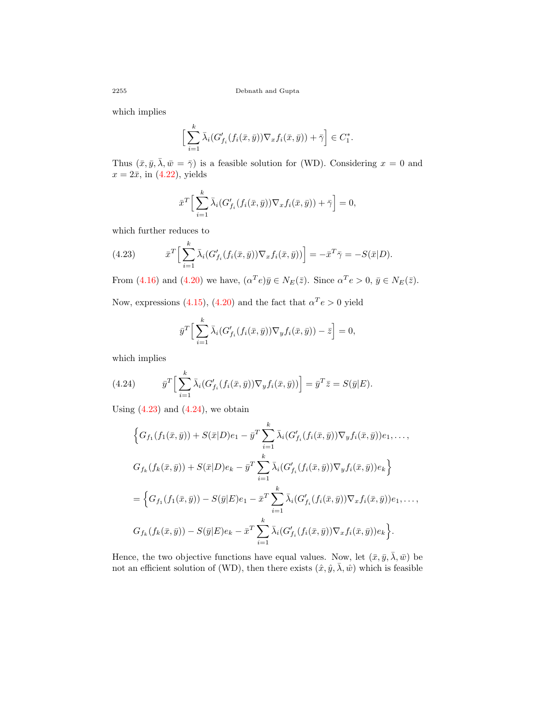which implies

$$
\Big[\sum_{i=1}^k \bar{\lambda}_i (G'_{f_i}(f_i(\bar{x}, \bar{y})) \nabla_x f_i(\bar{x}, \bar{y})) + \bar{\gamma} \Big] \in C_1^*.
$$

Thus  $(\bar{x}, \bar{y}, \bar{\lambda}, \bar{w} = \bar{\gamma})$  is a feasible solution for (WD). Considering  $x = 0$  and  $x = 2\bar{x}$ , in  $(4.22)$ , yields

$$
\bar{x}^T \Big[ \sum_{i=1}^k \bar{\lambda}_i (G'_{f_i}(f_i(\bar{x}, \bar{y})) \nabla_x f_i(\bar{x}, \bar{y})) + \bar{\gamma} \Big] = 0,
$$

which further reduces to

<span id="page-23-0"></span>(4.23) 
$$
\bar{x}^T \Big[ \sum_{i=1}^k \bar{\lambda}_i (G'_{f_i}(f_i(\bar{x}, \bar{y})) \nabla_x f_i(\bar{x}, \bar{y})) \Big] = -\bar{x}^T \bar{\gamma} = -S(\bar{x}|D).
$$

From [\(4.16\)](#page-21-1) and [\(4.20\)](#page-22-2) we have,  $(\alpha^T e) \bar{y} \in N_E(\bar{z})$ . Since  $\alpha^T e > 0$ ,  $\bar{y} \in N_E(\bar{z})$ .

Now, expressions [\(4.15](#page-21-2)), ([4.20\)](#page-22-2) and the fact that  $\alpha^T e > 0$  yield

$$
\bar{y}^T \Big[ \sum_{i=1}^k \bar{\lambda}_i (G'_{f_i}(f_i(\bar{x}, \bar{y})) \nabla_y f_i(\bar{x}, \bar{y})) - \bar{z} \Big] = 0,
$$

which implies

<span id="page-23-1"></span>(4.24) 
$$
\overline{y}^T \Big[ \sum_{i=1}^k \overline{\lambda}_i (G'_{f_i}(f_i(\overline{x}, \overline{y})) \nabla_y f_i(\overline{x}, \overline{y})) \Big] = \overline{y}^T \overline{z} = S(\overline{y}|E).
$$

Using  $(4.23)$  $(4.23)$  and  $(4.24)$ , we obtain

$$
\left\{ G_{f_1}(f_1(\bar{x}, \bar{y})) + S(\bar{x}|D)e_1 - \bar{y}^T \sum_{i=1}^k \bar{\lambda}_i (G'_{f_i}(f_i(\bar{x}, \bar{y})) \nabla_y f_i(\bar{x}, \bar{y})) e_1, ..., \n G_{f_k}(f_k(\bar{x}, \bar{y})) + S(\bar{x}|D)e_k - \bar{y}^T \sum_{i=1}^k \bar{\lambda}_i (G'_{f_i}(f_i(\bar{x}, \bar{y})) \nabla_y f_i(\bar{x}, \bar{y})) e_k \right\}
$$
\n
$$
= \left\{ G_{f_1}(f_1(\bar{x}, \bar{y})) - S(\bar{y}|E)e_1 - \bar{x}^T \sum_{i=1}^k \bar{\lambda}_i (G'_{f_i}(f_i(\bar{x}, \bar{y})) \nabla_x f_i(\bar{x}, \bar{y})) e_1, ...,
$$
\n
$$
G_{f_k}(f_k(\bar{x}, \bar{y})) - S(\bar{y}|E)e_k - \bar{x}^T \sum_{i=1}^k \bar{\lambda}_i (G'_{f_i}(f_i(\bar{x}, \bar{y})) \nabla_x f_i(\bar{x}, \bar{y})) e_k \right\}.
$$

Hence, the two objective functions have equal values. Now, let  $(\bar{x}, \bar{y}, \bar{\lambda}, \bar{w})$  be not an efficient solution of (WD), then there exists  $(\hat{x}, \hat{y}, \overline{\lambda}, \hat{w})$  which is feasible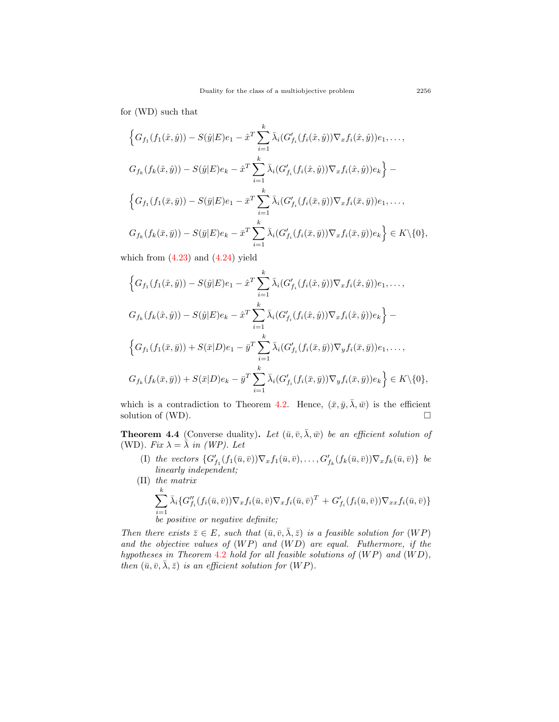for (WD) such that

$$
\left\{G_{f_{1}}(f_{1}(\hat{x},\hat{y})) - S(\hat{y}|E)e_{1} - \hat{x}^{T} \sum_{i=1}^{k} \bar{\lambda}_{i} (G'_{f_{i}}(f_{i}(\hat{x},\hat{y})) \nabla_{x} f_{i}(\hat{x},\hat{y}))e_{1}, \dots, G_{f_{k}}(f_{k}(\hat{x},\hat{y})) - S(\hat{y}|E)e_{k} - \hat{x}^{T} \sum_{i=1}^{k} \bar{\lambda}_{i} (G'_{f_{i}}(f_{i}(\hat{x},\hat{y})) \nabla_{x} f_{i}(\hat{x},\hat{y}))e_{k}\right\} - \n\left\{G_{f_{1}}(f_{1}(\bar{x},\bar{y})) - S(\bar{y}|E)e_{1} - \bar{x}^{T} \sum_{i=1}^{k} \bar{\lambda}_{i} (G'_{f_{i}}(f_{i}(\bar{x},\bar{y})) \nabla_{x} f_{i}(\bar{x},\bar{y}))e_{1}, \dots, G_{f_{k}}(f_{k}(\bar{x},\bar{y})) - S(\bar{y}|E)e_{k} - \bar{x}^{T} \sum_{i=1}^{k} \bar{\lambda}_{i} (G'_{f_{i}}(f_{i}(\bar{x},\bar{y})) \nabla_{x} f_{i}(\bar{x},\bar{y}))e_{k}\right\} \in K \setminus \{0\},
$$

which from  $(4.23)$  $(4.23)$  and  $(4.24)$  yield

$$
\left\{G_{f_{1}}(f_{1}(\hat{x},\hat{y})) - S(\hat{y}|E)e_{1} - \hat{x}^{T} \sum_{i=1}^{k} \bar{\lambda}_{i} (G'_{f_{i}}(f_{i}(\hat{x},\hat{y})) \nabla_{x} f_{i}(\hat{x},\hat{y}))e_{1}, \dots, \right.
$$
  
\n
$$
G_{f_{k}}(f_{k}(\hat{x},\hat{y})) - S(\hat{y}|E)e_{k} - \hat{x}^{T} \sum_{i=1}^{k} \bar{\lambda}_{i} (G'_{f_{i}}(f_{i}(\hat{x},\hat{y})) \nabla_{x} f_{i}(\hat{x},\hat{y}))e_{k}\right\} - \left\{G_{f_{1}}(f_{1}(\bar{x},\bar{y})) + S(\bar{x}|D)e_{1} - \bar{y}^{T} \sum_{i=1}^{k} \bar{\lambda}_{i} (G'_{f_{i}}(f_{i}(\bar{x},\bar{y})) \nabla_{y} f_{i}(\bar{x},\bar{y}))e_{1}, \dots, \right.
$$
  
\n
$$
G_{f_{k}}(f_{k}(\bar{x},\bar{y})) + S(\bar{x}|D)e_{k} - \bar{y}^{T} \sum_{i=1}^{k} \bar{\lambda}_{i} (G'_{f_{i}}(f_{i}(\bar{x},\bar{y})) \nabla_{y} f_{i}(\bar{x},\bar{y}))e_{k}\right\} \in K \setminus \{0\},
$$

which is a contradiction to Theorem [4.2](#page-16-1). Hence,  $(\bar{x}, \bar{y}, \bar{\lambda}, \bar{w})$  is the efficient solution of (WD).  $\Box$ 

**Theorem 4.4** (Converse duality). Let  $(\bar{u}, \bar{v}, \bar{\lambda}, \bar{w})$  be an efficient solution of (WD). Fix  $\lambda = \overline{\lambda}$  in (WP). Let

- (I) the vectors  $\{G'_{f_1}(f_1(\bar{u},\bar{v}))\nabla_x f_1(\bar{u},\bar{v}),\ldots,G'_{f_k}(f_k(\bar{u},\bar{v}))\nabla_x f_k(\bar{u},\bar{v})\}\;$  be *linearly independent;*
- (II) *the matrix* ∑ *k i*=1  $\bar{\lambda}_i \{G_{f_i}''(f_i(\bar{u}, \bar{v}))\nabla_x f_i(\bar{u}, \bar{v})\nabla_x f_i(\bar{u}, \bar{v})^T + G_{f_i}'(f_i(\bar{u}, \bar{v}))\nabla_{xx} f_i(\bar{u}, \bar{v})\}$ *be positive or negative definite;*

*Then there exists*  $\bar{z} \in E$ *, such that*  $(\bar{u}, \bar{v}, \bar{\lambda}, \bar{z})$  *is a feasible solution for*  $(WP)$ *and the objective values of* (*W P*) *and* (*W D*) *are equal. Futhermore, if the hypotheses in Theorem* [4.2](#page-16-1) *hold for all feasible solutions of* (*W P*) *and* (*W D*)*, then*  $(\bar{u}, \bar{v}, \bar{\lambda}, \bar{z})$  *is an efficient solution for*  $(WP)$ *.*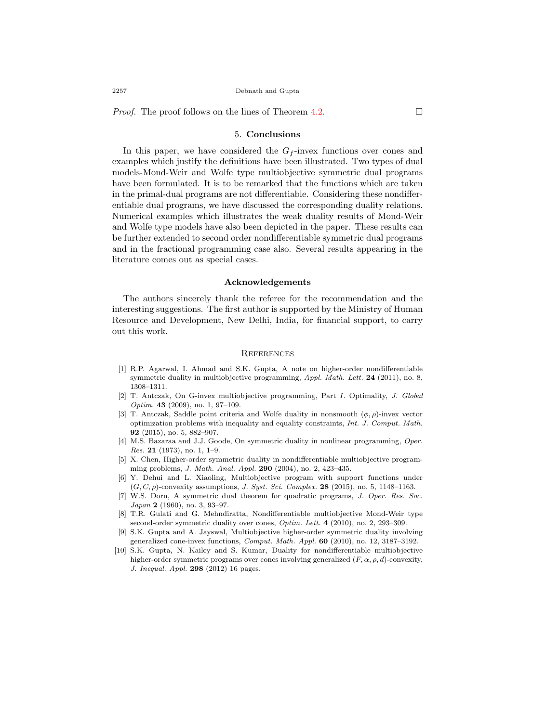*Proof.* The proof follows on the lines of Theorem [4.2](#page-16-1).  $\Box$ 

#### 5. **Conclusions**

In this paper, we have considered the  $G_f$ -invex functions over cones and examples which justify the definitions have been illustrated. Two types of dual models-Mond-Weir and Wolfe type multiobjective symmetric dual programs have been formulated. It is to be remarked that the functions which are taken in the primal-dual programs are not differentiable. Considering these nondifferentiable dual programs, we have discussed the corresponding duality relations. Numerical examples which illustrates the weak duality results of Mond-Weir and Wolfe type models have also been depicted in the paper. These results can be further extended to second order nondifferentiable symmetric dual programs and in the fractional programming case also. Several results appearing in the literature comes out as special cases.

#### **Acknowledgements**

The authors sincerely thank the referee for the recommendation and the interesting suggestions. The first author is supported by the Ministry of Human Resource and Development, New Delhi, India, for financial support, to carry out this work.

#### **REFERENCES**

- <span id="page-25-3"></span>[1] R.P. Agarwal, I. Ahmad and S.K. Gupta, A note on higher-order nondifferentiable symmetric duality in multiobjective programming, *Appl. Math. Lett.* **24** (2011), no. 8, 1308–1311.
- <span id="page-25-8"></span>[2] T. Antczak, On G-invex multiobjective programming, Part *I*. Optimality, *J. Global Optim.* **43** (2009), no. 1, 97–109.
- <span id="page-25-7"></span>[3] T. Antczak, Saddle point criteria and Wolfe duality in nonsmooth (*ϕ, ρ*)-invex vector optimization problems with inequality and equality constraints, *Int. J. Comput. Math.* **92** (2015), no. 5, 882–907.
- <span id="page-25-9"></span>[4] M.S. Bazaraa and J.J. Goode, On symmetric duality in nonlinear programming, *Oper. Res.* **21** (1973), no. 1, 1–9.
- <span id="page-25-4"></span>[5] X. Chen, Higher-order symmetric duality in nondifferentiable multiobjective programming problems, *J. Math. Anal. Appl.* **290** (2004), no. 2, 423–435.
- <span id="page-25-6"></span>[6] Y. Dehui and L. Xiaoling, Multiobjective program with support functions under (*G, C, ρ*)-convexity assumptions, *J. Syst. Sci. Complex.* **28** (2015), no. 5, 1148–1163.
- <span id="page-25-0"></span>[7] W.S. Dorn, A symmetric dual theorem for quadratic programs, *J. Oper. Res. Soc. Japan* **2** (1960), no. 3, 93–97.
- <span id="page-25-2"></span>[8] T.R. Gulati and G. Mehndiratta, Nondifferentiable multiobjective Mond-Weir type second-order symmetric duality over cones, *Optim. Lett.* **4** (2010), no. 2, 293–309.
- <span id="page-25-1"></span>[9] S.K. Gupta and A. Jayswal, Multiobjective higher-order symmetric duality involving generalized cone-invex functions, *Comput. Math. Appl.* **60** (2010), no. 12, 3187–3192.
- <span id="page-25-5"></span>[10] S.K. Gupta, N. Kailey and S. Kumar, Duality for nondifferentiable multiobjective higher-order symmetric programs over cones involving generalized (*F, α, ρ, d*)-convexity, *J. Inequal. Appl.* **298** (2012) 16 pages.